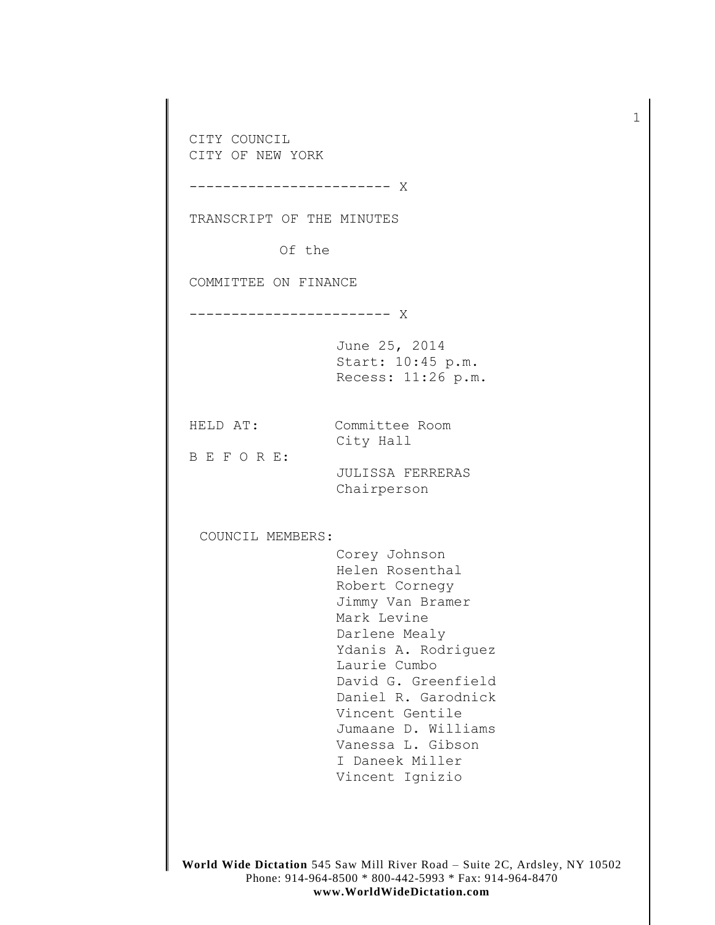CITY COUNCIL CITY OF NEW YORK

------------------------ X

TRANSCRIPT OF THE MINUTES

Of the

COMMITTEE ON FINANCE

------------------------ X

June 25, 2014 Start: 10:45 p.m. Recess: 11:26 p.m.

HELD AT: Committee Room City Hall

B E F O R E:

JULISSA FERRERAS Chairperson

COUNCIL MEMBERS:

Corey Johnson Helen Rosenthal Robert Cornegy Jimmy Van Bramer Mark Levine Darlene Mealy Ydanis A. Rodriguez Laurie Cumbo David G. Greenfield Daniel R. Garodnick Vincent Gentile Jumaane D. Williams Vanessa L. Gibson I Daneek Miller Vincent Ignizio

**World Wide Dictation** 545 Saw Mill River Road – Suite 2C, Ardsley, NY 10502 Phone: 914-964-8500 \* 800-442-5993 \* Fax: 914-964-8470 **www.WorldWideDictation.com**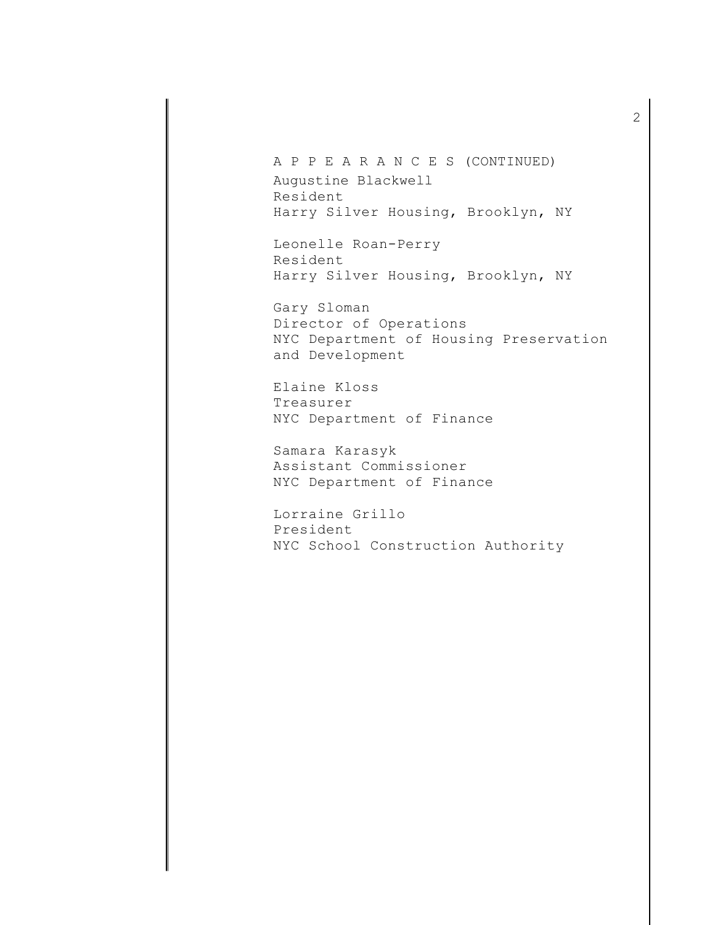A P P E A R A N C E S (CONTINUED) Augustine Blackwell Resident Harry Silver Housing, Brooklyn, NY

Leonelle Roan-Perry Resident Harry Silver Housing, Brooklyn, NY

Gary Sloman Director of Operations NYC Department of Housing Preservation and Development

Elaine Kloss Treasurer NYC Department of Finance

Samara Karasyk Assistant Commissioner NYC Department of Finance

Lorraine Grillo President NYC School Construction Authority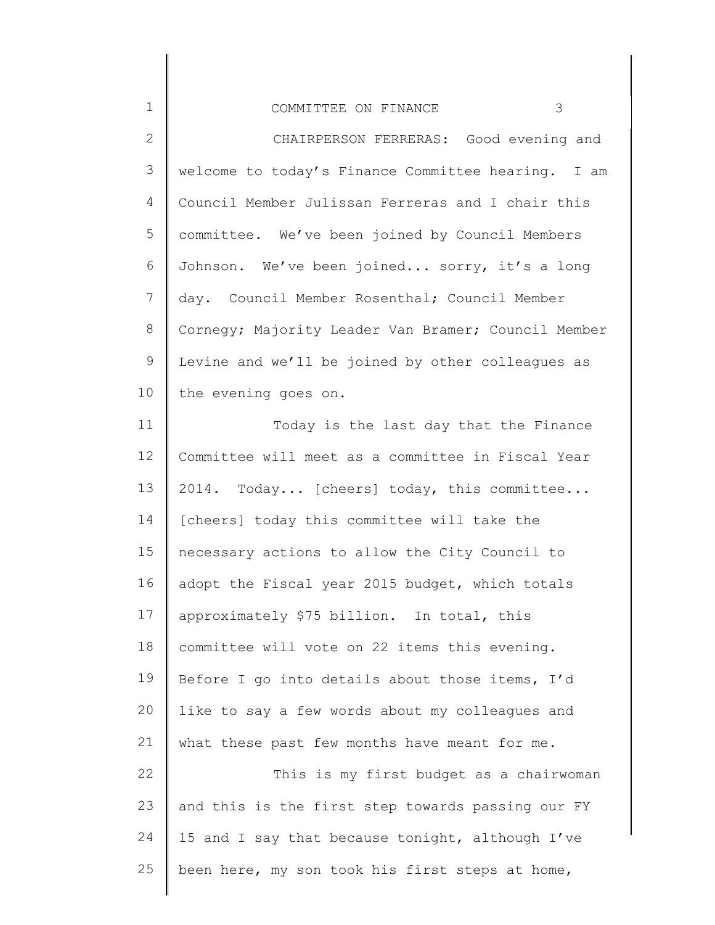| $\mathbf 1$    | 3<br>COMMITTEE ON FINANCE                           |
|----------------|-----------------------------------------------------|
| $\mathbf{2}$   | CHAIRPERSON FERRERAS: Good evening and              |
| 3              | welcome to today's Finance Committee hearing. I am  |
| 4              | Council Member Julissan Ferreras and I chair this   |
| 5              | committee. We've been joined by Council Members     |
| 6              | Johnson. We've been joined sorry, it's a long       |
| $\overline{7}$ | day. Council Member Rosenthal; Council Member       |
| $\,8\,$        | Cornegy; Majority Leader Van Bramer; Council Member |
| $\mathsf 9$    | Levine and we'll be joined by other colleagues as   |
| 10             | the evening goes on.                                |
| 11             | Today is the last day that the Finance              |
| 12             | Committee will meet as a committee in Fiscal Year   |
| 13             | 2014. Today [cheers] today, this committee          |
| 14             | [cheers] today this committee will take the         |
| 15             | necessary actions to allow the City Council to      |
| 16             | adopt the Fiscal year 2015 budget, which totals     |
| 17             | approximately \$75 billion. In total, this          |
| 18             | committee will vote on 22 items this evening.       |
| 19             | Before I go into details about those items, I'd     |
| 20             | like to say a few words about my colleagues and     |
| 21             | what these past few months have meant for me.       |
| 22             | This is my first budget as a chairwoman             |
| 23             | and this is the first step towards passing our FY   |
| 24             | 15 and I say that because tonight, although I've    |
| 25             | been here, my son took his first steps at home,     |

∥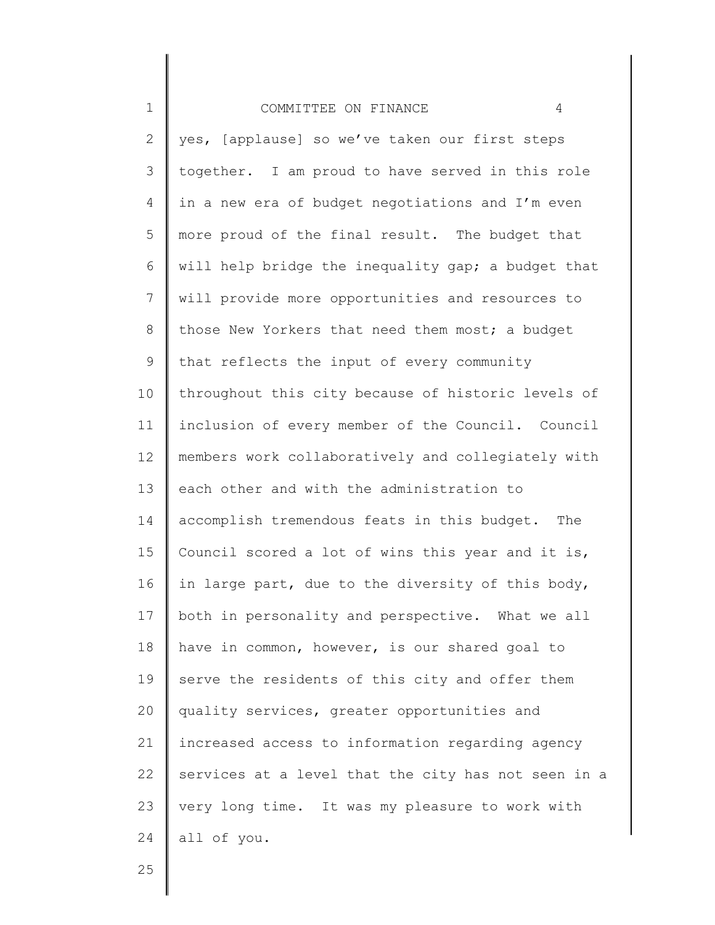# COMMITTEE ON FINANCE 4

2 3 4 5 6 7 8 9 10 11 12 13 14 15 16 17 18 19 20 21 22 23 24 yes, [applause] so we've taken our first steps together. I am proud to have served in this role in a new era of budget negotiations and I'm even more proud of the final result. The budget that will help bridge the inequality gap; a budget that will provide more opportunities and resources to those New Yorkers that need them most; a budget that reflects the input of every community throughout this city because of historic levels of inclusion of every member of the Council. Council members work collaboratively and collegiately with each other and with the administration to accomplish tremendous feats in this budget. The Council scored a lot of wins this year and it is, in large part, due to the diversity of this body, both in personality and perspective. What we all have in common, however, is our shared goal to serve the residents of this city and offer them quality services, greater opportunities and increased access to information regarding agency services at a level that the city has not seen in a very long time. It was my pleasure to work with all of you.

25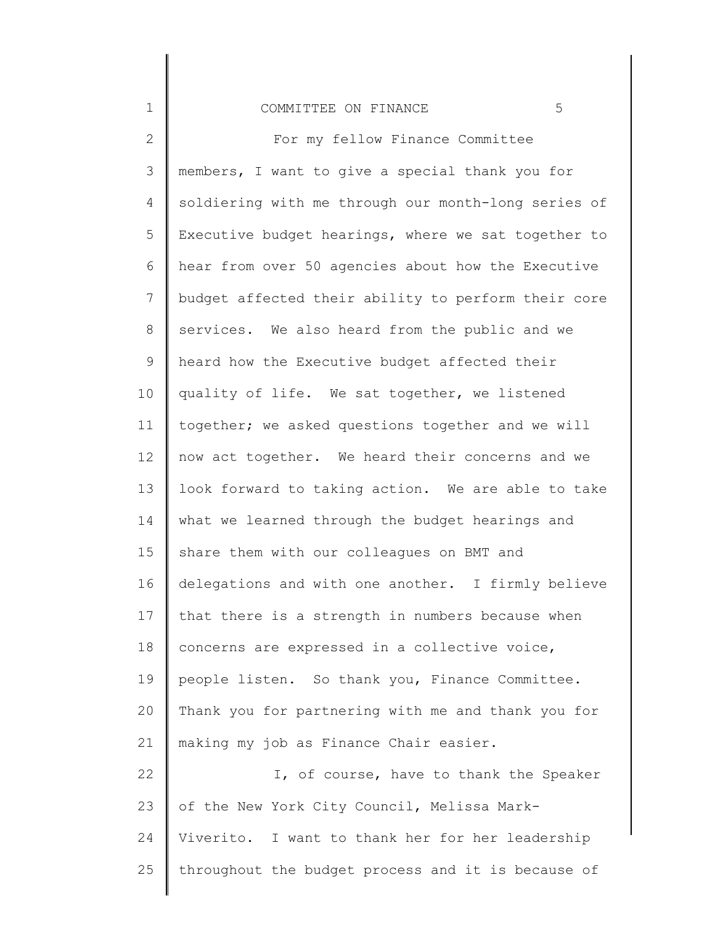#### COMMITTEE ON FINANCE 5

1

2 3 4 5 6 7 8 9 10 11 12 13 14 15 16 17 18 19 20 21 22 23 24 25 For my fellow Finance Committee members, I want to give a special thank you for soldiering with me through our month-long series of Executive budget hearings, where we sat together to hear from over 50 agencies about how the Executive budget affected their ability to perform their core services. We also heard from the public and we heard how the Executive budget affected their quality of life. We sat together, we listened together; we asked questions together and we will now act together. We heard their concerns and we look forward to taking action. We are able to take what we learned through the budget hearings and share them with our colleagues on BMT and delegations and with one another. I firmly believe that there is a strength in numbers because when concerns are expressed in a collective voice, people listen. So thank you, Finance Committee. Thank you for partnering with me and thank you for making my job as Finance Chair easier. I, of course, have to thank the Speaker of the New York City Council, Melissa Mark-Viverito. I want to thank her for her leadership throughout the budget process and it is because of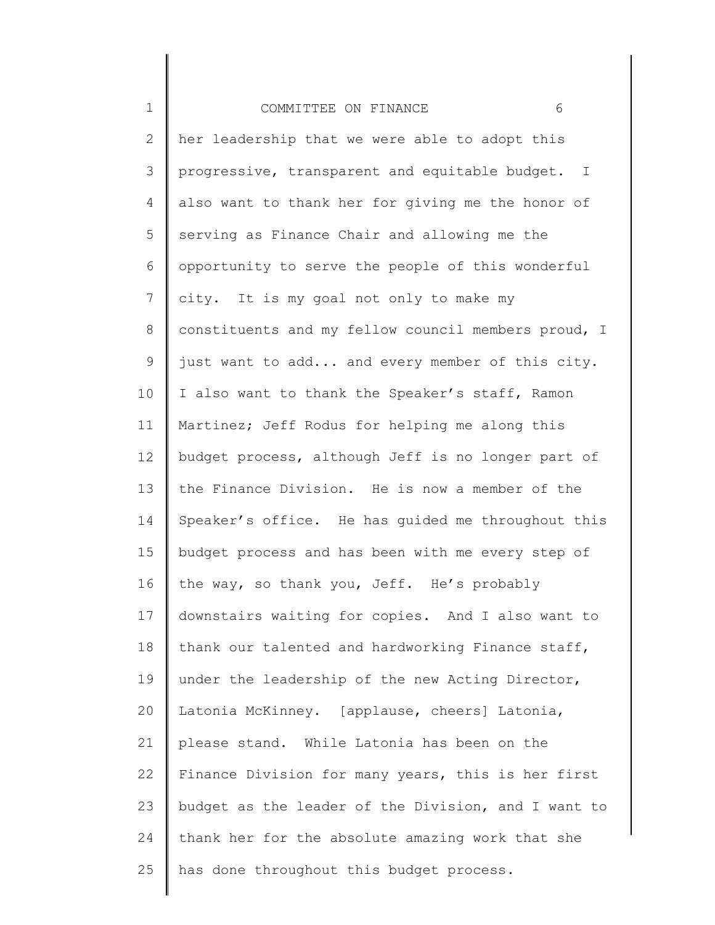| $\mathbf 1$  | COMMITTEE ON FINANCE<br>6                           |
|--------------|-----------------------------------------------------|
| $\mathbf{2}$ | her leadership that we were able to adopt this      |
| 3            | progressive, transparent and equitable budget. I    |
| 4            | also want to thank her for giving me the honor of   |
| 5            | serving as Finance Chair and allowing me the        |
| 6            | opportunity to serve the people of this wonderful   |
| 7            | city. It is my goal not only to make my             |
| $8\,$        | constituents and my fellow council members proud, I |
| $\mathsf 9$  | just want to add and every member of this city.     |
| 10           | I also want to thank the Speaker's staff, Ramon     |
| 11           | Martinez; Jeff Rodus for helping me along this      |
| 12           | budget process, although Jeff is no longer part of  |
| 13           | the Finance Division. He is now a member of the     |
| 14           | Speaker's office. He has guided me throughout this  |
| 15           | budget process and has been with me every step of   |
| 16           | the way, so thank you, Jeff. He's probably          |
| 17           | downstairs waiting for copies. And I also want to   |
| 18           | thank our talented and hardworking Finance staff,   |
| 19           | under the leadership of the new Acting Director,    |
| 20           | Latonia McKinney. [applause, cheers] Latonia,       |
| 21           | please stand. While Latonia has been on the         |
| 22           | Finance Division for many years, this is her first  |
| 23           | budget as the leader of the Division, and I want to |
| 24           | thank her for the absolute amazing work that she    |
| 25           | has done throughout this budget process.            |
|              |                                                     |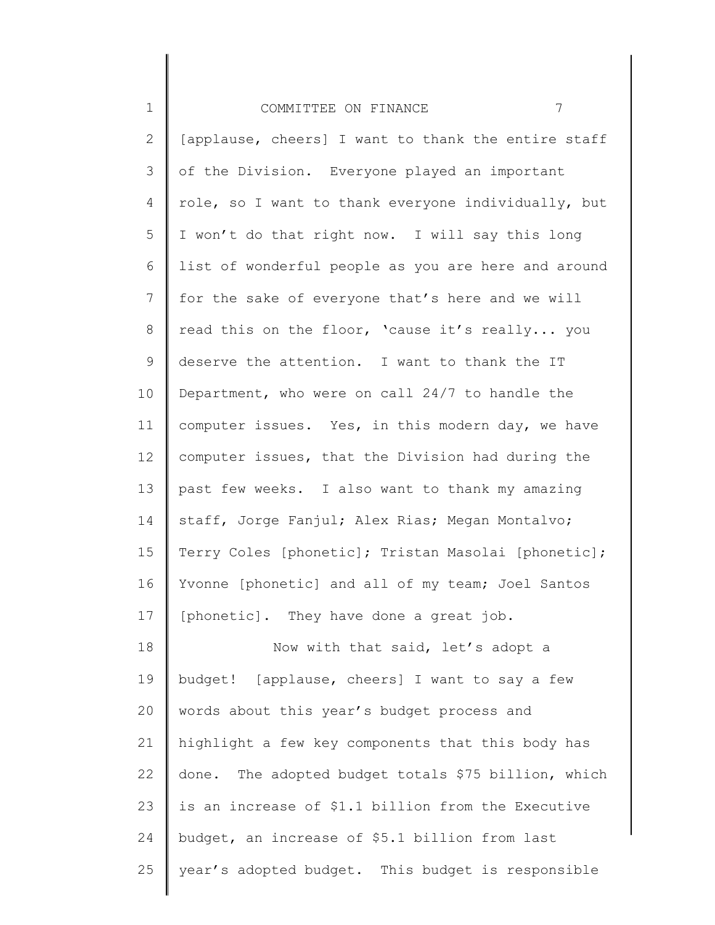| $\mathbf 1$    | 7<br>COMMITTEE ON FINANCE                           |
|----------------|-----------------------------------------------------|
| $\overline{2}$ | [applause, cheers] I want to thank the entire staff |
| 3              | of the Division. Everyone played an important       |
| 4              | role, so I want to thank everyone individually, but |
| 5              | I won't do that right now. I will say this long     |
| 6              | list of wonderful people as you are here and around |
| $7\phantom{.}$ | for the sake of everyone that's here and we will    |
| $\,8\,$        | read this on the floor, 'cause it's really you      |
| $\mathsf 9$    | deserve the attention. I want to thank the IT       |
| 10             | Department, who were on call 24/7 to handle the     |
| 11             | computer issues. Yes, in this modern day, we have   |
| 12             | computer issues, that the Division had during the   |
| 13             | past few weeks. I also want to thank my amazing     |
| 14             | staff, Jorge Fanjul; Alex Rias; Megan Montalvo;     |
| 15             | Terry Coles [phonetic]; Tristan Masolai [phonetic]; |
| 16             | Yvonne [phonetic] and all of my team; Joel Santos   |
| 17             | [phonetic]. They have done a great job.             |
| 18             | Now with that said, let's adopt a                   |
| 19             | budget! [applause, cheers] I want to say a few      |
| 20             | words about this year's budget process and          |
| 21             | highlight a few key components that this body has   |
| 22             | done. The adopted budget totals \$75 billion, which |
| 23             | is an increase of \$1.1 billion from the Executive  |
| 24             | budget, an increase of \$5.1 billion from last      |
| 25             | year's adopted budget. This budget is responsible   |
|                |                                                     |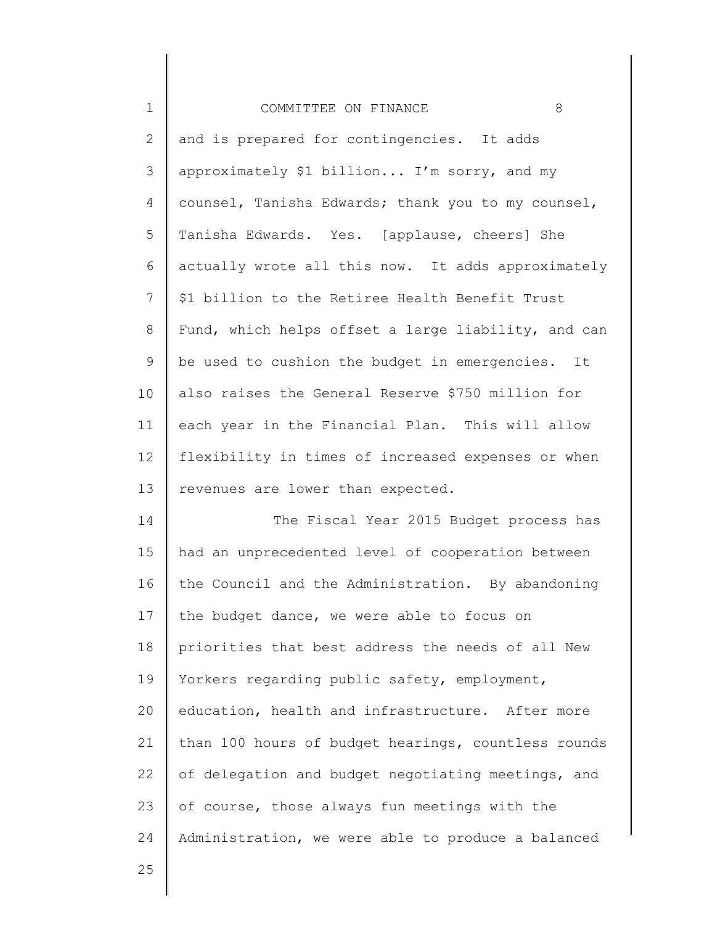| $\mathbf 1$    | 8<br>COMMITTEE ON FINANCE                           |
|----------------|-----------------------------------------------------|
| $\mathbf{2}$   | and is prepared for contingencies. It adds          |
| 3              | approximately \$1 billion I'm sorry, and my         |
| 4              | counsel, Tanisha Edwards; thank you to my counsel,  |
| 5              | Tanisha Edwards. Yes. [applause, cheers] She        |
| 6              | actually wrote all this now. It adds approximately  |
| $\overline{7}$ | \$1 billion to the Retiree Health Benefit Trust     |
| $8\,$          | Fund, which helps offset a large liability, and can |
| 9              | be used to cushion the budget in emergencies. It    |
| 10             | also raises the General Reserve \$750 million for   |
| 11             | each year in the Financial Plan. This will allow    |
| 12             | flexibility in times of increased expenses or when  |
| 13             | revenues are lower than expected.                   |
| 14             | The Fiscal Year 2015 Budget process has             |
| 15             | had an unprecedented level of cooperation between   |
| 16             | the Council and the Administration. By abandoning   |
| 17             | the budget dance, we were able to focus on          |
| 18             | priorities that best address the needs of all New   |
| 19             | Yorkers regarding public safety, employment,        |
| 20             | education, health and infrastructure. After more    |
| 21             | than 100 hours of budget hearings, countless rounds |
| 22             | of delegation and budget negotiating meetings, and  |
| 23             | of course, those always fun meetings with the       |
| 24             | Administration, we were able to produce a balanced  |
| 25             |                                                     |
|                |                                                     |

∥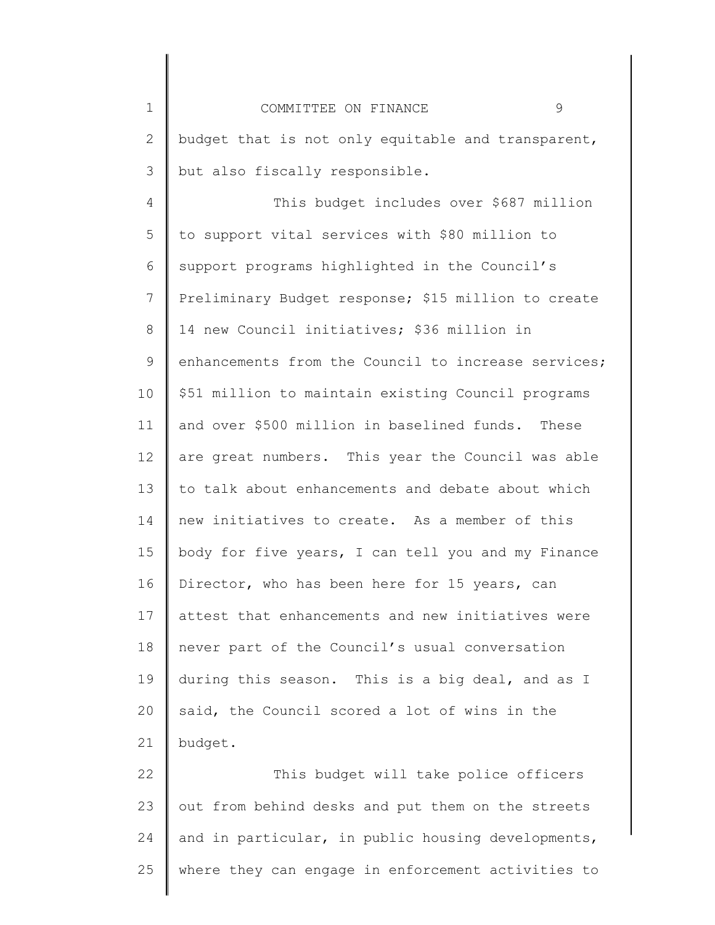1 2 3 4 5 6 7 8 9 10 11 12 13 14 15 16 17 18 19 20 21 22 23 24 25 COMMITTEE ON FINANCE 9 budget that is not only equitable and transparent, but also fiscally responsible. This budget includes over \$687 million to support vital services with \$80 million to support programs highlighted in the Council's Preliminary Budget response; \$15 million to create 14 new Council initiatives; \$36 million in enhancements from the Council to increase services; \$51 million to maintain existing Council programs and over \$500 million in baselined funds. These are great numbers. This year the Council was able to talk about enhancements and debate about which new initiatives to create. As a member of this body for five years, I can tell you and my Finance Director, who has been here for 15 years, can attest that enhancements and new initiatives were never part of the Council's usual conversation during this season. This is a big deal, and as I said, the Council scored a lot of wins in the budget. This budget will take police officers out from behind desks and put them on the streets and in particular, in public housing developments, where they can engage in enforcement activities to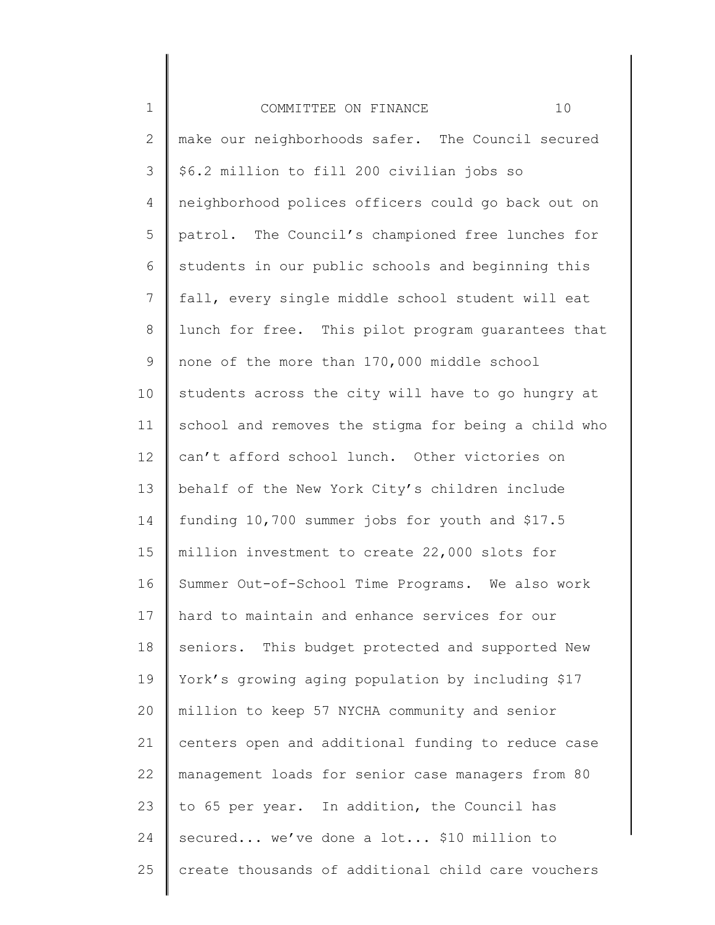| $\mathbf 1$  | 10<br>COMMITTEE ON FINANCE                          |
|--------------|-----------------------------------------------------|
| $\mathbf{2}$ | make our neighborhoods safer. The Council secured   |
| 3            | \$6.2 million to fill 200 civilian jobs so          |
| 4            | neighborhood polices officers could go back out on  |
| 5            | patrol. The Council's championed free lunches for   |
| 6            | students in our public schools and beginning this   |
| 7            | fall, every single middle school student will eat   |
| $\,8\,$      | lunch for free. This pilot program quarantees that  |
| $\mathsf 9$  | none of the more than 170,000 middle school         |
| 10           | students across the city will have to go hungry at  |
| 11           | school and removes the stigma for being a child who |
| 12           | can't afford school lunch. Other victories on       |
| 13           | behalf of the New York City's children include      |
| 14           | funding 10,700 summer jobs for youth and \$17.5     |
| 15           | million investment to create 22,000 slots for       |
| 16           | Summer Out-of-School Time Programs. We also work    |
| 17           | hard to maintain and enhance services for our       |
| 18           | seniors. This budget protected and supported New    |
| 19           | York's growing aging population by including \$17   |
| 20           | million to keep 57 NYCHA community and senior       |
| 21           | centers open and additional funding to reduce case  |
| 22           | management loads for senior case managers from 80   |
| 23           | to 65 per year. In addition, the Council has        |
| 24           | secured we've done a lot \$10 million to            |
| 25           | create thousands of additional child care vouchers  |
|              |                                                     |

║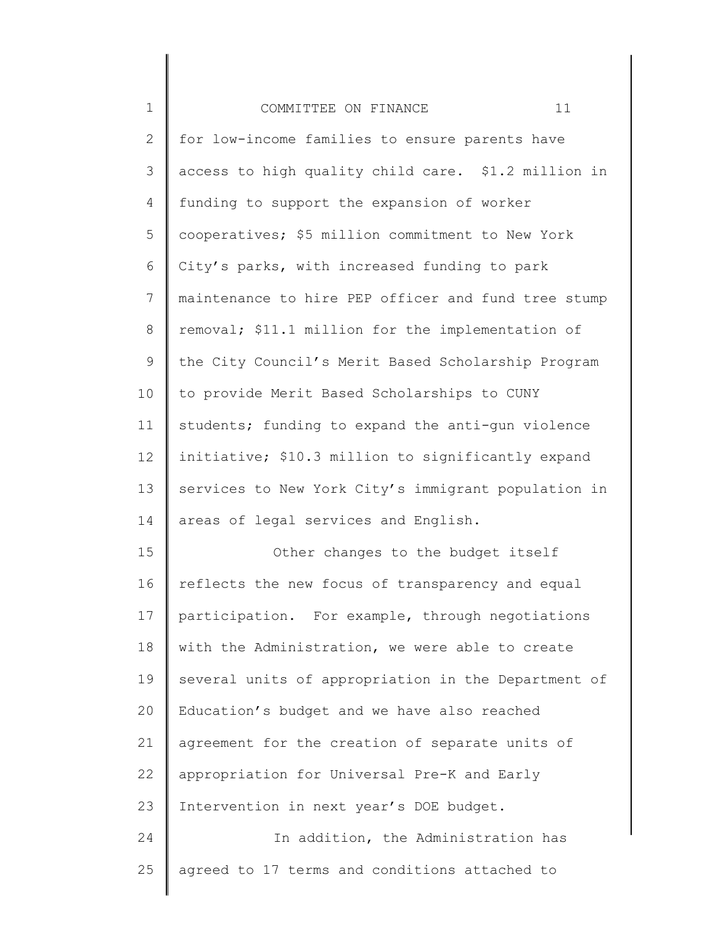| $\mathbf 1$  | 11<br>COMMITTEE ON FINANCE                          |
|--------------|-----------------------------------------------------|
| $\mathbf{2}$ | for low-income families to ensure parents have      |
| 3            | access to high quality child care. \$1.2 million in |
| 4            | funding to support the expansion of worker          |
| 5            | cooperatives; \$5 million commitment to New York    |
| 6            | City's parks, with increased funding to park        |
| 7            | maintenance to hire PEP officer and fund tree stump |
| 8            | removal; \$11.1 million for the implementation of   |
| $\mathsf 9$  | the City Council's Merit Based Scholarship Program  |
| 10           | to provide Merit Based Scholarships to CUNY         |
| 11           | students; funding to expand the anti-gun violence   |
| 12           | initiative; \$10.3 million to significantly expand  |
| 13           | services to New York City's immigrant population in |
| 14           | areas of legal services and English.                |
| 15           | Other changes to the budget itself                  |
| 16           | reflects the new focus of transparency and equal    |
| 17           | participation. For example, through negotiations    |
| 18           | with the Administration, we were able to create     |
| 19           | several units of appropriation in the Department of |
| 20           | Education's budget and we have also reached         |
| 21           | agreement for the creation of separate units of     |
| 22           | appropriation for Universal Pre-K and Early         |
| 23           | Intervention in next year's DOE budget.             |
| 24           | In addition, the Administration has                 |
| 25           | agreed to 17 terms and conditions attached to       |
|              |                                                     |

║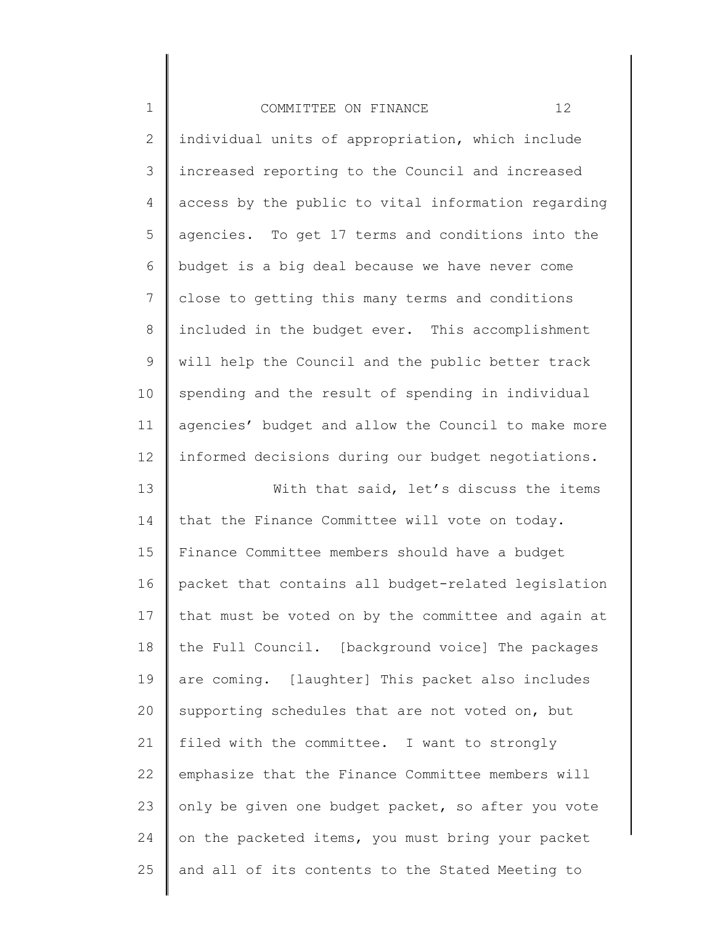| $\mathbf 1$    | 12<br>COMMITTEE ON FINANCE                          |
|----------------|-----------------------------------------------------|
| $\mathbf{2}$   | individual units of appropriation, which include    |
| 3              | increased reporting to the Council and increased    |
| 4              | access by the public to vital information regarding |
| 5              | agencies. To get 17 terms and conditions into the   |
| 6              | budget is a big deal because we have never come     |
| $\overline{7}$ | close to getting this many terms and conditions     |
| $\,8\,$        | included in the budget ever. This accomplishment    |
| $\mathsf 9$    | will help the Council and the public better track   |
| 10             | spending and the result of spending in individual   |
| 11             | agencies' budget and allow the Council to make more |
| 12             | informed decisions during our budget negotiations.  |
| 13             | With that said, let's discuss the items             |
| 14             | that the Finance Committee will vote on today.      |
| 15             | Finance Committee members should have a budget      |
| 16             | packet that contains all budget-related legislation |
| 17             | that must be voted on by the committee and again at |
| 18             | the Full Council. [background voice] The packages   |
| 19             | are coming. [laughter] This packet also includes    |
| 20             | supporting schedules that are not voted on, but     |
| 21             | filed with the committee. I want to strongly        |
| 22             | emphasize that the Finance Committee members will   |
| 23             | only be given one budget packet, so after you vote  |
| 24             | on the packeted items, you must bring your packet   |
| 25             | and all of its contents to the Stated Meeting to    |
|                |                                                     |

∥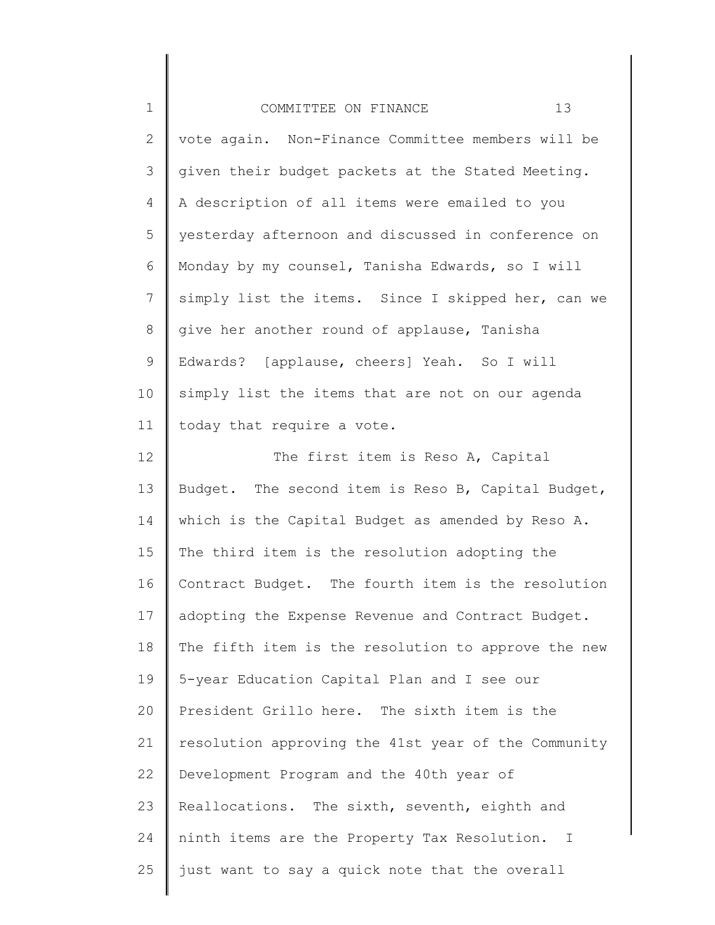| $1\,$          | 13<br>COMMITTEE ON FINANCE                          |
|----------------|-----------------------------------------------------|
| $\mathbf{2}$   | vote again. Non-Finance Committee members will be   |
| 3              | given their budget packets at the Stated Meeting.   |
| 4              | A description of all items were emailed to you      |
| 5              | yesterday afternoon and discussed in conference on  |
| 6              | Monday by my counsel, Tanisha Edwards, so I will    |
| $\overline{7}$ | simply list the items. Since I skipped her, can we  |
| $\,8\,$        | give her another round of applause, Tanisha         |
| $\mathsf 9$    | Edwards? [applause, cheers] Yeah. So I will         |
| 10             | simply list the items that are not on our agenda    |
| 11             | today that require a vote.                          |
| 12             | The first item is Reso A, Capital                   |
| 13             | Budget. The second item is Reso B, Capital Budget,  |
| 14             | which is the Capital Budget as amended by Reso A.   |
| 15             | The third item is the resolution adopting the       |
| 16             | Contract Budget. The fourth item is the resolution  |
| 17             | adopting the Expense Revenue and Contract Budget.   |
| 18             | The fifth item is the resolution to approve the new |
| 19             | 5-year Education Capital Plan and I see our         |
| 20             | President Grillo here. The sixth item is the        |
| 21             | resolution approving the 41st year of the Community |
| 22             | Development Program and the 40th year of            |
| 23             | Reallocations. The sixth, seventh, eighth and       |
| 24             | ninth items are the Property Tax Resolution. I      |
| 25             | just want to say a quick note that the overall      |
|                |                                                     |

║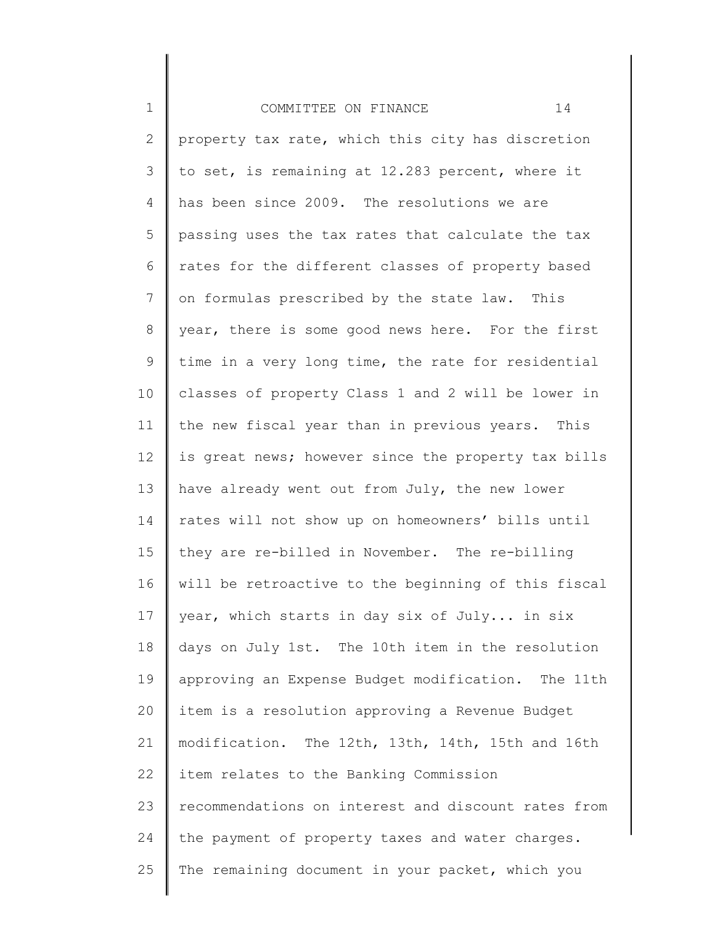1 2 3 4 5 6 7 8 9 10 11 12 13 14 15 16 17 18 19 20 21 22 23 24 25 COMMITTEE ON FINANCE 14 property tax rate, which this city has discretion to set, is remaining at 12.283 percent, where it has been since 2009. The resolutions we are passing uses the tax rates that calculate the tax rates for the different classes of property based on formulas prescribed by the state law. This year, there is some good news here. For the first time in a very long time, the rate for residential classes of property Class 1 and 2 will be lower in the new fiscal year than in previous years. This is great news; however since the property tax bills have already went out from July, the new lower rates will not show up on homeowners' bills until they are re-billed in November. The re-billing will be retroactive to the beginning of this fiscal year, which starts in day six of July... in six days on July 1st. The 10th item in the resolution approving an Expense Budget modification. The 11th item is a resolution approving a Revenue Budget modification. The 12th, 13th, 14th, 15th and 16th item relates to the Banking Commission recommendations on interest and discount rates from the payment of property taxes and water charges. The remaining document in your packet, which you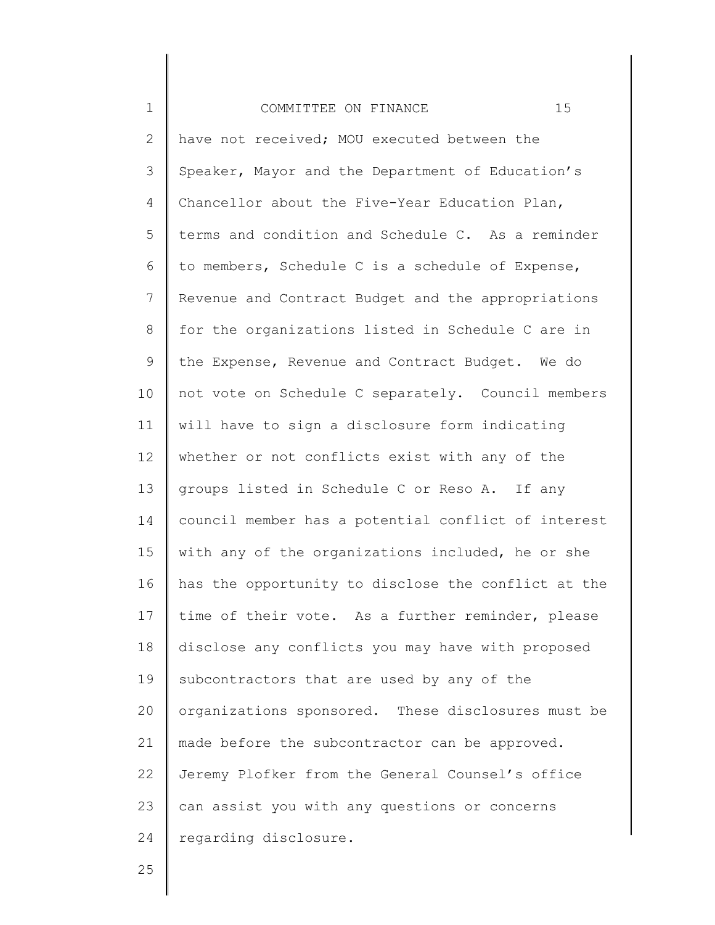1 2 3 4 5 6 7 8 9 10 11 12 13 14 15 16 17 18 19 20 21 22 23 24 COMMITTEE ON FINANCE 15 have not received; MOU executed between the Speaker, Mayor and the Department of Education's Chancellor about the Five-Year Education Plan, terms and condition and Schedule C. As a reminder to members, Schedule C is a schedule of Expense, Revenue and Contract Budget and the appropriations for the organizations listed in Schedule C are in the Expense, Revenue and Contract Budget. We do not vote on Schedule C separately. Council members will have to sign a disclosure form indicating whether or not conflicts exist with any of the groups listed in Schedule C or Reso A. If any council member has a potential conflict of interest with any of the organizations included, he or she has the opportunity to disclose the conflict at the time of their vote. As a further reminder, please disclose any conflicts you may have with proposed subcontractors that are used by any of the organizations sponsored. These disclosures must be made before the subcontractor can be approved. Jeremy Plofker from the General Counsel's office can assist you with any questions or concerns regarding disclosure.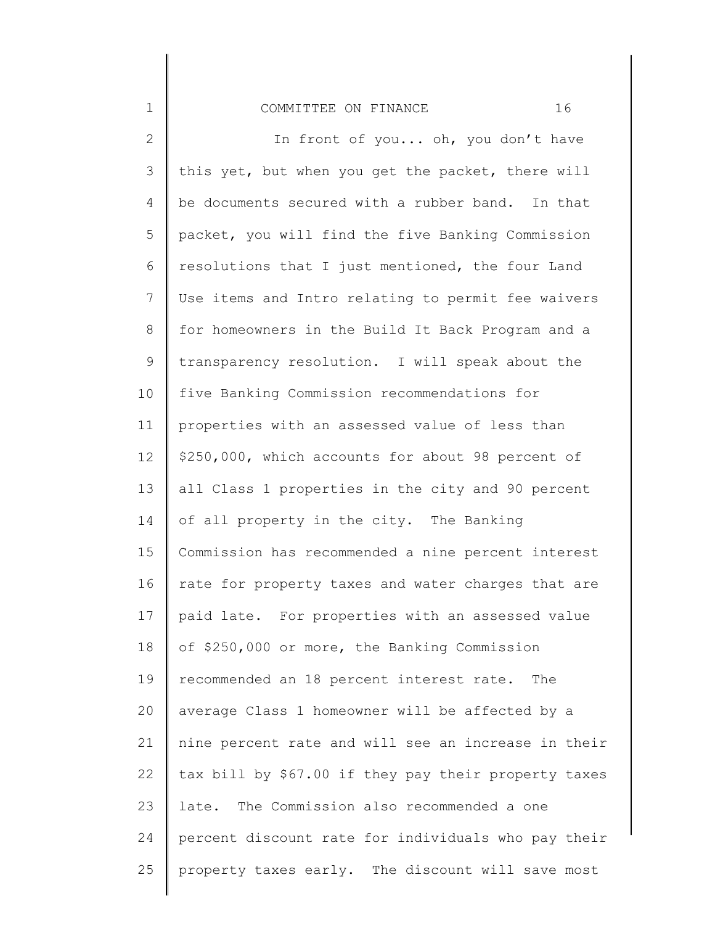# COMMITTEE ON FINANCE 16

1

2 3 4 5 6 7 8 9 10 11 12 13 14 15 16 17 18 19 20 21 22 23 24 25 In front of you... oh, you don't have this yet, but when you get the packet, there will be documents secured with a rubber band. In that packet, you will find the five Banking Commission resolutions that I just mentioned, the four Land Use items and Intro relating to permit fee waivers for homeowners in the Build It Back Program and a transparency resolution. I will speak about the five Banking Commission recommendations for properties with an assessed value of less than \$250,000, which accounts for about 98 percent of all Class 1 properties in the city and 90 percent of all property in the city. The Banking Commission has recommended a nine percent interest rate for property taxes and water charges that are paid late. For properties with an assessed value of \$250,000 or more, the Banking Commission recommended an 18 percent interest rate. The average Class 1 homeowner will be affected by a nine percent rate and will see an increase in their tax bill by \$67.00 if they pay their property taxes late. The Commission also recommended a one percent discount rate for individuals who pay their property taxes early. The discount will save most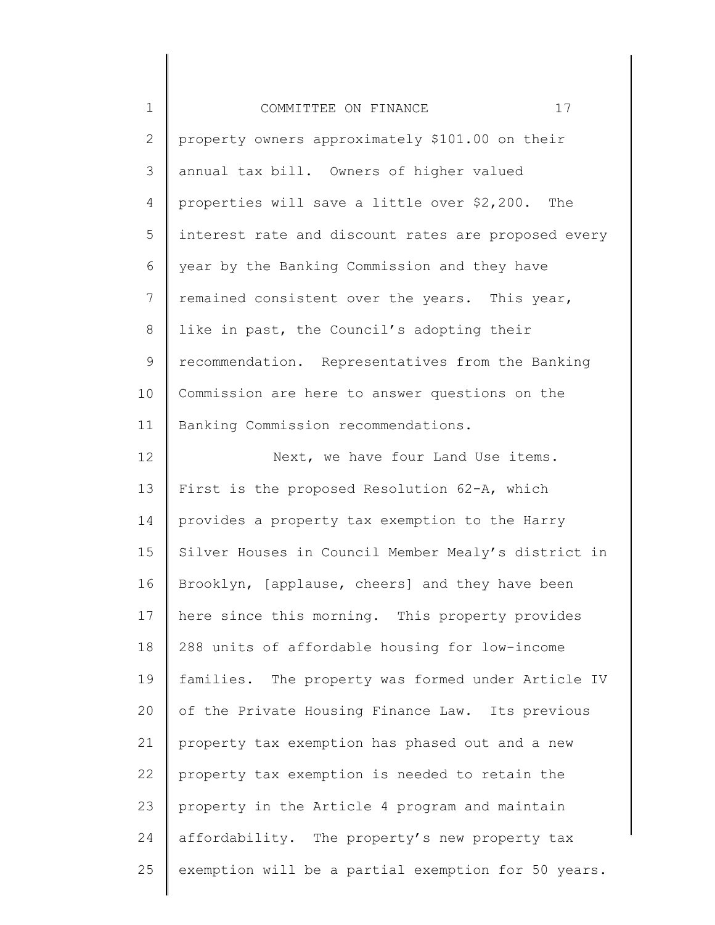| $\mathbf 1$  | 17<br>COMMITTEE ON FINANCE                          |
|--------------|-----------------------------------------------------|
| $\mathbf{2}$ | property owners approximately \$101.00 on their     |
| 3            | annual tax bill. Owners of higher valued            |
| 4            | properties will save a little over \$2,200. The     |
| 5            | interest rate and discount rates are proposed every |
| 6            | year by the Banking Commission and they have        |
| 7            | remained consistent over the years. This year,      |
| $8\,$        | like in past, the Council's adopting their          |
| 9            | recommendation. Representatives from the Banking    |
| 10           | Commission are here to answer questions on the      |
| 11           | Banking Commission recommendations.                 |
| 12           | Next, we have four Land Use items.                  |
| 13           | First is the proposed Resolution 62-A, which        |
| 14           | provides a property tax exemption to the Harry      |
| 15           | Silver Houses in Council Member Mealy's district in |
| 16           | Brooklyn, [applause, cheers] and they have been     |
| 17           | here since this morning. This property provides     |
| 18           | 288 units of affordable housing for low-income      |
| 19           | families. The property was formed under Article IV  |
| 20           | of the Private Housing Finance Law. Its previous    |
| 21           | property tax exemption has phased out and a new     |
| 22           | property tax exemption is needed to retain the      |
| 23           | property in the Article 4 program and maintain      |
| 24           | affordability. The property's new property tax      |
| 25           | exemption will be a partial exemption for 50 years. |
|              |                                                     |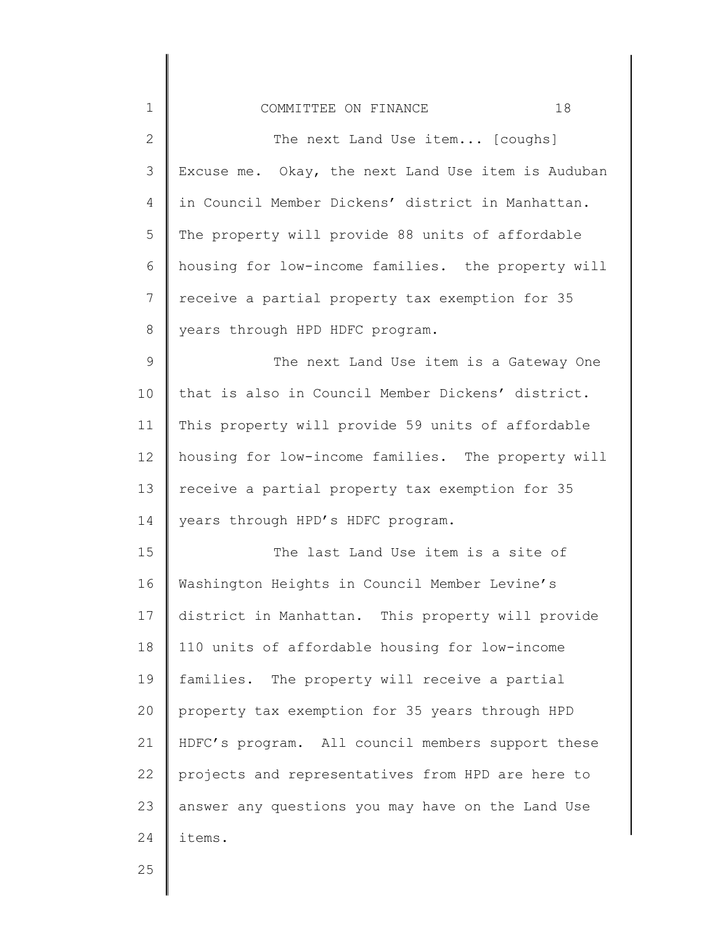| $\mathbf 1$    | 18<br>COMMITTEE ON FINANCE                         |
|----------------|----------------------------------------------------|
| $\mathbf{2}$   | The next Land Use item [coughs]                    |
| 3              | Excuse me. Okay, the next Land Use item is Auduban |
| 4              | in Council Member Dickens' district in Manhattan.  |
| 5              | The property will provide 88 units of affordable   |
| 6              | housing for low-income families. the property will |
| $7\phantom{.}$ | receive a partial property tax exemption for 35    |
| $\,8\,$        | years through HPD HDFC program.                    |
| $\mathsf 9$    | The next Land Use item is a Gateway One            |
| 10             | that is also in Council Member Dickens' district.  |
| 11             | This property will provide 59 units of affordable  |
| 12             | housing for low-income families. The property will |
| 13             | receive a partial property tax exemption for 35    |
| 14             | years through HPD's HDFC program.                  |
| 15             | The last Land Use item is a site of                |
| 16             | Washington Heights in Council Member Levine's      |
| 17             | district in Manhattan. This property will provide  |
| 18             | 110 units of affordable housing for low-income     |
| 19             | families. The property will receive a partial      |
| 20             | property tax exemption for 35 years through HPD    |
| 21             | HDFC's program. All council members support these  |
| 22             | projects and representatives from HPD are here to  |
| 23             | answer any questions you may have on the Land Use  |
| 24             | items.                                             |
| $\cap E$       |                                                    |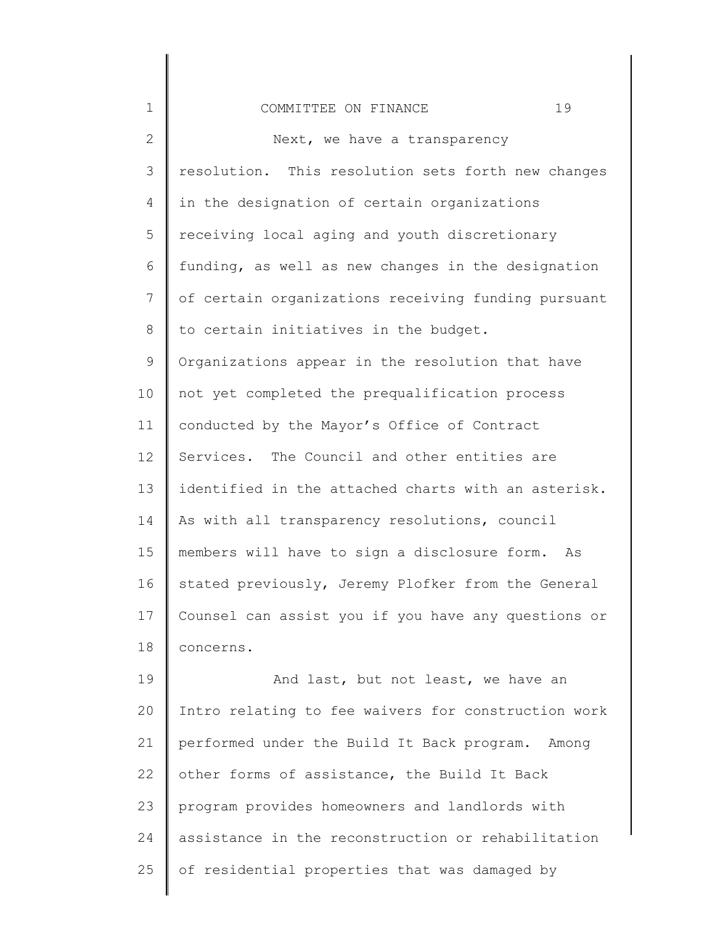| $\mathbf 1$ | 19<br>COMMITTEE ON FINANCE                          |
|-------------|-----------------------------------------------------|
| 2           | Next, we have a transparency                        |
| 3           | resolution. This resolution sets forth new changes  |
| 4           | in the designation of certain organizations         |
| 5           | receiving local aging and youth discretionary       |
| 6           | funding, as well as new changes in the designation  |
| 7           | of certain organizations receiving funding pursuant |
| 8           | to certain initiatives in the budget.               |
| $\mathsf 9$ | Organizations appear in the resolution that have    |
| 10          | not yet completed the prequalification process      |
| 11          | conducted by the Mayor's Office of Contract         |
| 12          | Services. The Council and other entities are        |
| 13          | identified in the attached charts with an asterisk. |
| 14          | As with all transparency resolutions, council       |
| 15          | members will have to sign a disclosure form. As     |
| 16          | stated previously, Jeremy Plofker from the General  |
| 17          | Counsel can assist you if you have any questions or |
| 18          | concerns.                                           |
| 19          | And last, but not least, we have an                 |
| 20          | Intro relating to fee waivers for construction work |
| 21          | performed under the Build It Back program. Among    |
| 22          | other forms of assistance, the Build It Back        |
| 23          | program provides homeowners and landlords with      |
| 24          | assistance in the reconstruction or rehabilitation  |
| 25          | of residential properties that was damaged by       |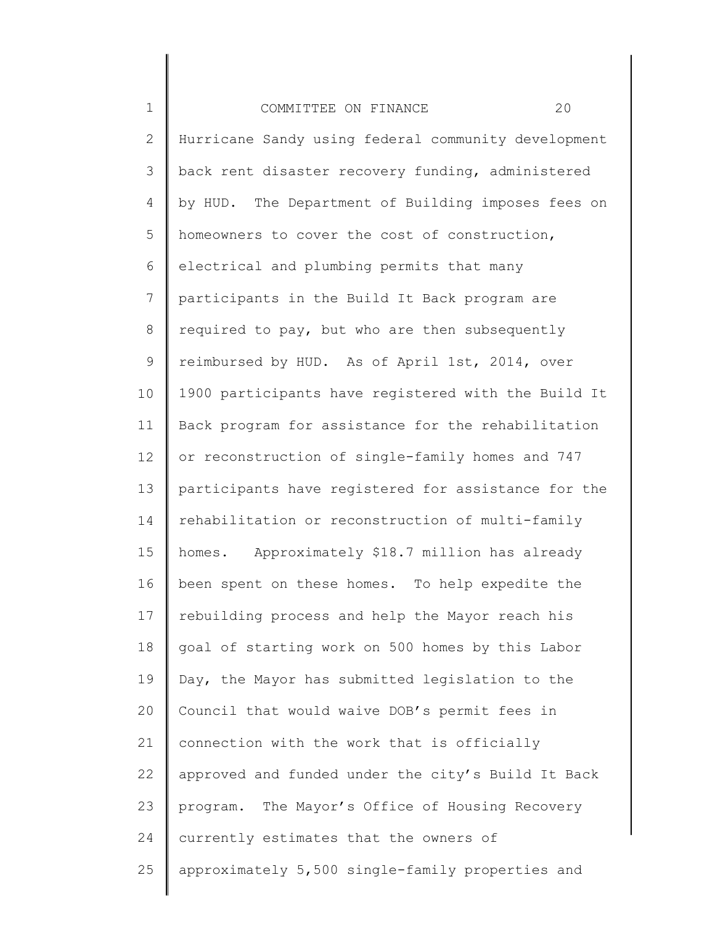1 2 3 4 5 6 7 8 9 10 11 12 13 14 15 16 17 18 19 20 21 22 23 24 25 COMMITTEE ON FINANCE 20 Hurricane Sandy using federal community development back rent disaster recovery funding, administered by HUD. The Department of Building imposes fees on homeowners to cover the cost of construction, electrical and plumbing permits that many participants in the Build It Back program are required to pay, but who are then subsequently reimbursed by HUD. As of April 1st, 2014, over 1900 participants have registered with the Build It Back program for assistance for the rehabilitation or reconstruction of single-family homes and 747 participants have registered for assistance for the rehabilitation or reconstruction of multi-family homes. Approximately \$18.7 million has already been spent on these homes. To help expedite the rebuilding process and help the Mayor reach his goal of starting work on 500 homes by this Labor Day, the Mayor has submitted legislation to the Council that would waive DOB's permit fees in connection with the work that is officially approved and funded under the city's Build It Back program. The Mayor's Office of Housing Recovery currently estimates that the owners of approximately 5,500 single-family properties and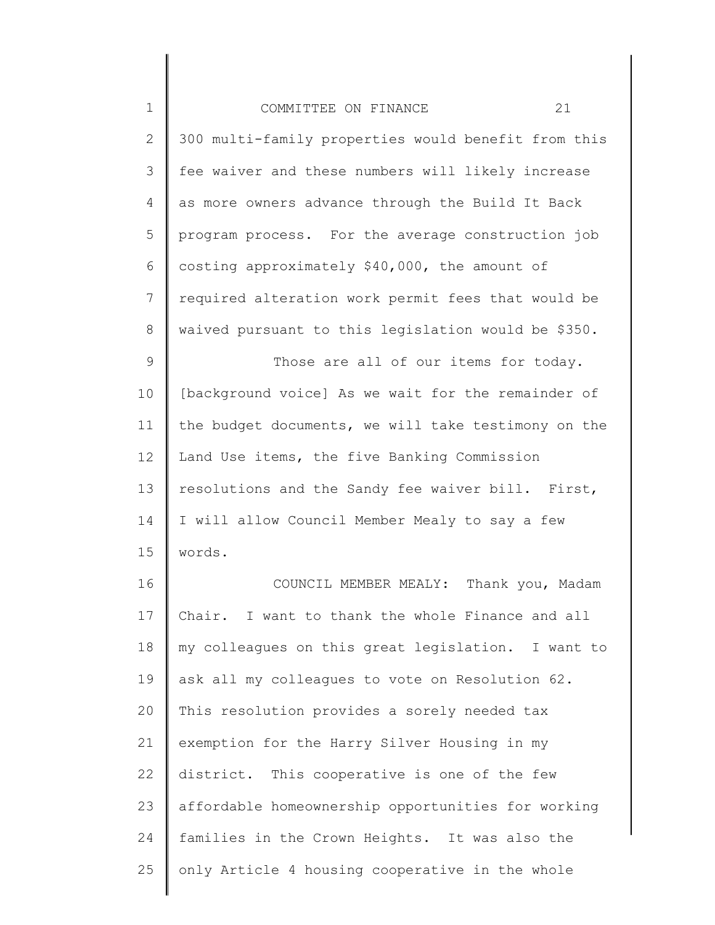| $\mathbf 1$  | 21<br>COMMITTEE ON FINANCE                          |
|--------------|-----------------------------------------------------|
| $\mathbf{2}$ | 300 multi-family properties would benefit from this |
| 3            | fee waiver and these numbers will likely increase   |
| 4            | as more owners advance through the Build It Back    |
| 5            | program process. For the average construction job   |
| 6            | costing approximately \$40,000, the amount of       |
| 7            | required alteration work permit fees that would be  |
| $8\,$        | waived pursuant to this legislation would be \$350. |
| $\mathsf 9$  | Those are all of our items for today.               |
| 10           | [background voice] As we wait for the remainder of  |
| 11           | the budget documents, we will take testimony on the |
| 12           | Land Use items, the five Banking Commission         |
| 13           | resolutions and the Sandy fee waiver bill. First,   |
| 14           | I will allow Council Member Mealy to say a few      |
| 15           | words.                                              |
| 16           | COUNCIL MEMBER MEALY: Thank you, Madam              |
| 17           | Chair. I want to thank the whole Finance and all    |
| 18           | my colleagues on this great legislation. I want to  |
| 19           | ask all my colleagues to vote on Resolution 62.     |
| 20           | This resolution provides a sorely needed tax        |
| 21           | exemption for the Harry Silver Housing in my        |
| 22           | district. This cooperative is one of the few        |
| 23           | affordable homeownership opportunities for working  |
| 24           | families in the Crown Heights. It was also the      |
| 25           | only Article 4 housing cooperative in the whole     |
|              |                                                     |

║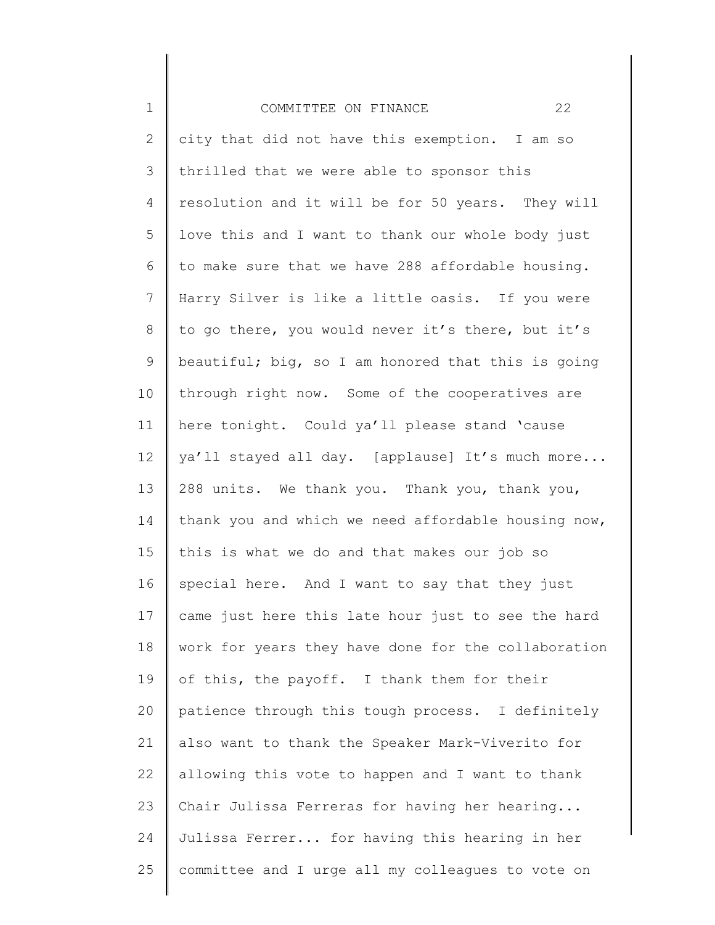| $\mathbf 1$    | 22<br>COMMITTEE ON FINANCE                          |
|----------------|-----------------------------------------------------|
| $\mathbf{2}$   | city that did not have this exemption. I am so      |
| 3              | thrilled that we were able to sponsor this          |
| 4              | resolution and it will be for 50 years. They will   |
| 5              | love this and I want to thank our whole body just   |
| 6              | to make sure that we have 288 affordable housing.   |
| $\overline{7}$ | Harry Silver is like a little oasis. If you were    |
| 8              | to go there, you would never it's there, but it's   |
| $\mathsf 9$    | beautiful; big, so I am honored that this is going  |
| 10             | through right now. Some of the cooperatives are     |
| 11             | here tonight. Could ya'll please stand 'cause       |
| 12             | ya'll stayed all day. [applause] It's much more     |
| 13             | 288 units. We thank you. Thank you, thank you,      |
| 14             | thank you and which we need affordable housing now, |
| 15             | this is what we do and that makes our job so        |
| 16             | special here. And I want to say that they just      |
| 17             | came just here this late hour just to see the hard  |
| 18             | work for years they have done for the collaboration |
| 19             | of this, the payoff. I thank them for their         |
| 20             | patience through this tough process. I definitely   |
| 21             | also want to thank the Speaker Mark-Viverito for    |
| 22             | allowing this vote to happen and I want to thank    |
| 23             | Chair Julissa Ferreras for having her hearing       |
| 24             | Julissa Ferrer for having this hearing in her       |
| 25             | committee and I urge all my colleagues to vote on   |
|                |                                                     |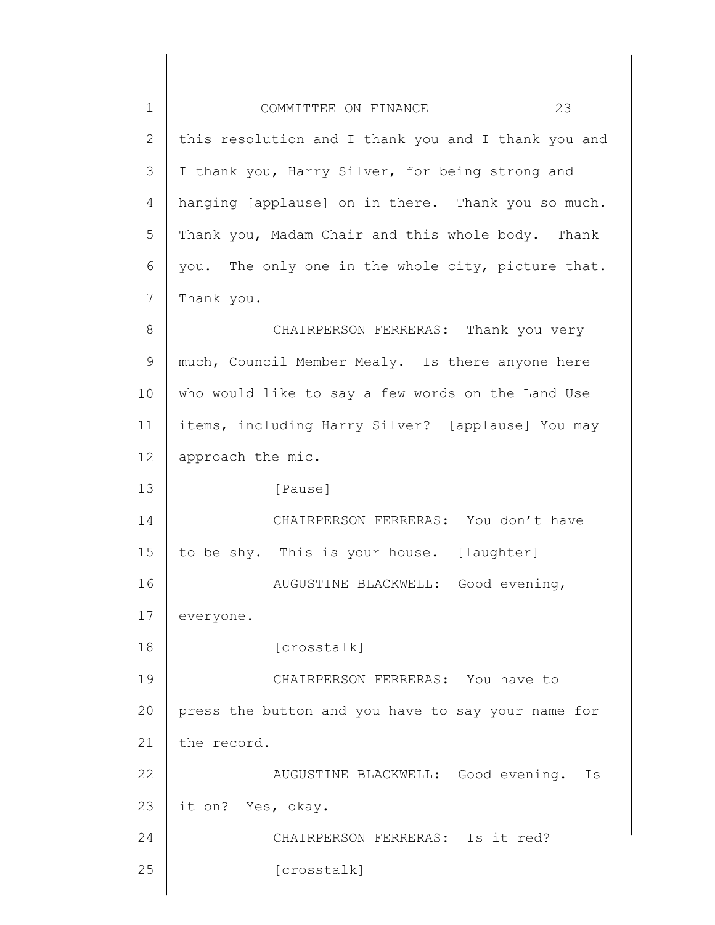| $\mathbf 1$  | 23<br>COMMITTEE ON FINANCE                          |
|--------------|-----------------------------------------------------|
| $\mathbf{2}$ | this resolution and I thank you and I thank you and |
| 3            | I thank you, Harry Silver, for being strong and     |
| 4            | hanging [applause] on in there. Thank you so much.  |
| 5            | Thank you, Madam Chair and this whole body. Thank   |
| 6            | you. The only one in the whole city, picture that.  |
| 7            | Thank you.                                          |
| 8            | CHAIRPERSON FERRERAS: Thank you very                |
| 9            | much, Council Member Mealy. Is there anyone here    |
| 10           | who would like to say a few words on the Land Use   |
| 11           | items, including Harry Silver? [applause] You may   |
| 12           | approach the mic.                                   |
| 13           | [Pause]                                             |
| 14           | CHAIRPERSON FERRERAS: You don't have                |
| 15           | to be shy. This is your house. [laughter]           |
| 16           | AUGUSTINE BLACKWELL: Good evening,                  |
| 17           | everyone.                                           |
| 18           | [crosstalk]                                         |
| 19           | CHAIRPERSON FERRERAS: You have to                   |
| 20           | press the button and you have to say your name for  |
| 21           | the record.                                         |
| 22           | AUGUSTINE BLACKWELL: Good evening.<br>Is            |
| 23           | it on? Yes, okay.                                   |
| 24           | CHAIRPERSON FERRERAS: Is it red?                    |
| 25           | [crosstalk]                                         |
|              |                                                     |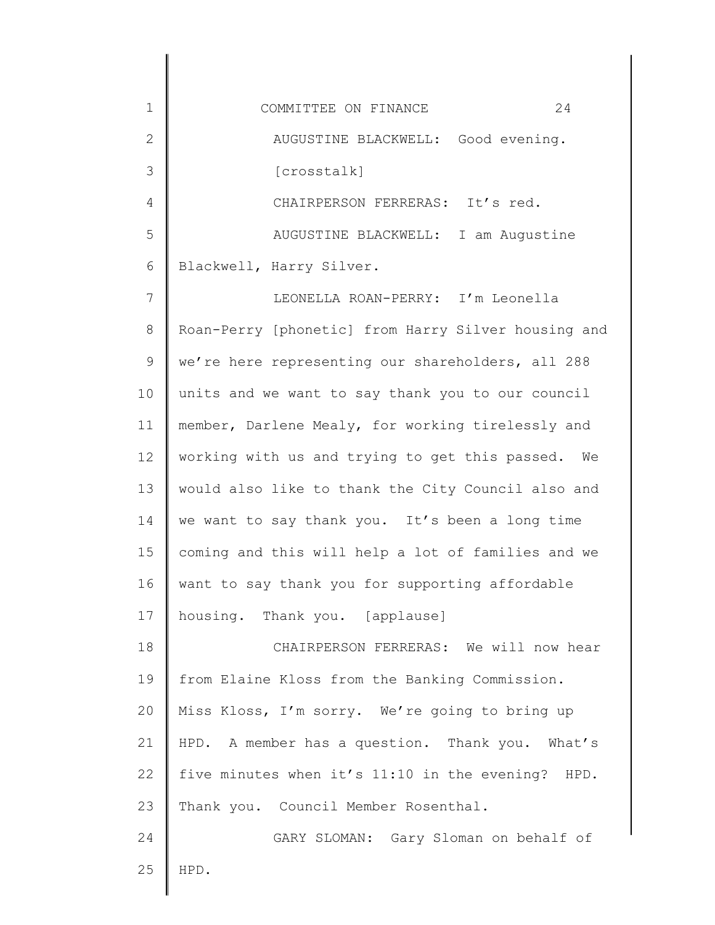| $\mathbf 1$  | 24<br>COMMITTEE ON FINANCE                          |
|--------------|-----------------------------------------------------|
| $\mathbf{2}$ | AUGUSTINE BLACKWELL: Good evening.                  |
| 3            | [crosstalk]                                         |
| 4            | CHAIRPERSON FERRERAS: It's red.                     |
| 5            | AUGUSTINE BLACKWELL: I am Augustine                 |
| 6            | Blackwell, Harry Silver.                            |
| 7            | LEONELLA ROAN-PERRY: I'm Leonella                   |
| $8\,$        | Roan-Perry [phonetic] from Harry Silver housing and |
| $\mathsf 9$  | we're here representing our shareholders, all 288   |
| 10           | units and we want to say thank you to our council   |
| 11           | member, Darlene Mealy, for working tirelessly and   |
| 12           | working with us and trying to get this passed. We   |
| 13           | would also like to thank the City Council also and  |
| 14           | we want to say thank you. It's been a long time     |
| 15           | coming and this will help a lot of families and we  |
| 16           | want to say thank you for supporting affordable     |
| 17           | housing. Thank you. [applause]                      |
| 18           | CHAIRPERSON FERRERAS: We will now hear              |
| 19           | from Elaine Kloss from the Banking Commission.      |
| 20           | Miss Kloss, I'm sorry. We're going to bring up      |
| 21           | HPD. A member has a question. Thank you. What's     |
| 22           | five minutes when it's 11:10 in the evening? HPD.   |
| 23           | Thank you. Council Member Rosenthal.                |
| 24           | GARY SLOMAN: Gary Sloman on behalf of               |
| 25           | HPD.                                                |
|              |                                                     |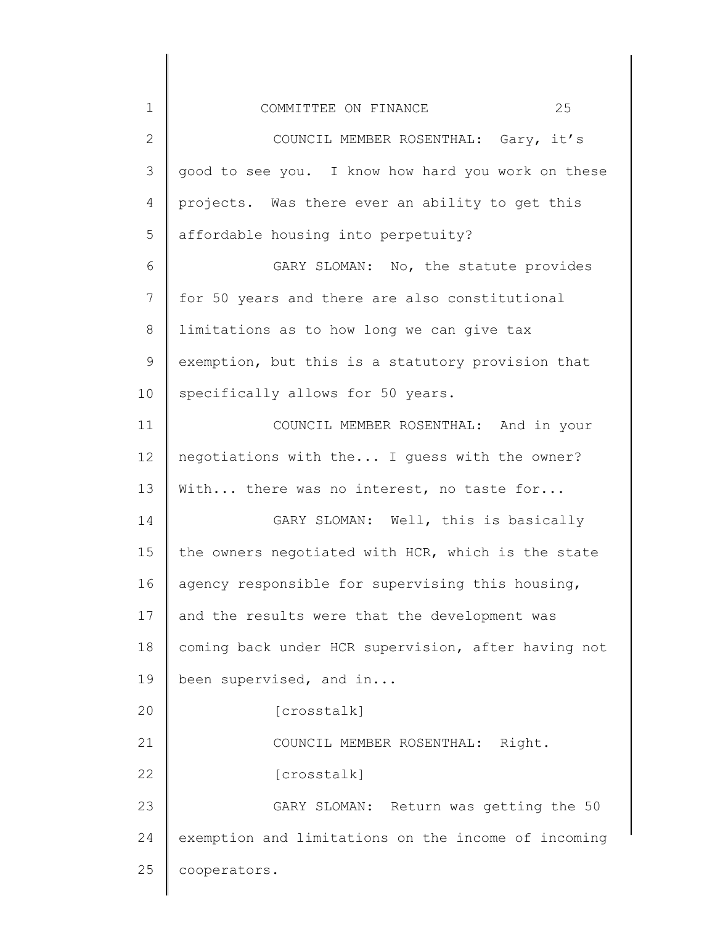| $1\,$          | 25<br>COMMITTEE ON FINANCE                          |
|----------------|-----------------------------------------------------|
| $\mathbf{2}$   | COUNCIL MEMBER ROSENTHAL: Gary, it's                |
| 3              | good to see you. I know how hard you work on these  |
| 4              | projects. Was there ever an ability to get this     |
| 5              | affordable housing into perpetuity?                 |
| 6              | GARY SLOMAN: No, the statute provides               |
| $\overline{7}$ | for 50 years and there are also constitutional      |
| $8\,$          | limitations as to how long we can give tax          |
| $\mathsf 9$    | exemption, but this is a statutory provision that   |
| 10             | specifically allows for 50 years.                   |
| 11             | COUNCIL MEMBER ROSENTHAL: And in your               |
| 12             | negotiations with the I guess with the owner?       |
| 13             | With there was no interest, no taste for            |
| 14             | GARY SLOMAN: Well, this is basically                |
| 15             | the owners negotiated with HCR, which is the state  |
| 16             | agency responsible for supervising this housing,    |
| 17             | and the results were that the development was       |
| 18             | coming back under HCR supervision, after having not |
| 19             | been supervised, and in                             |
| 20             | [crosstalk]                                         |
| 21             | COUNCIL MEMBER ROSENTHAL:<br>Right.                 |
| 22             | [crosstalk]                                         |
| 23             | GARY SLOMAN: Return was getting the 50              |
| 24             | exemption and limitations on the income of incoming |
| 25             | cooperators.                                        |
|                |                                                     |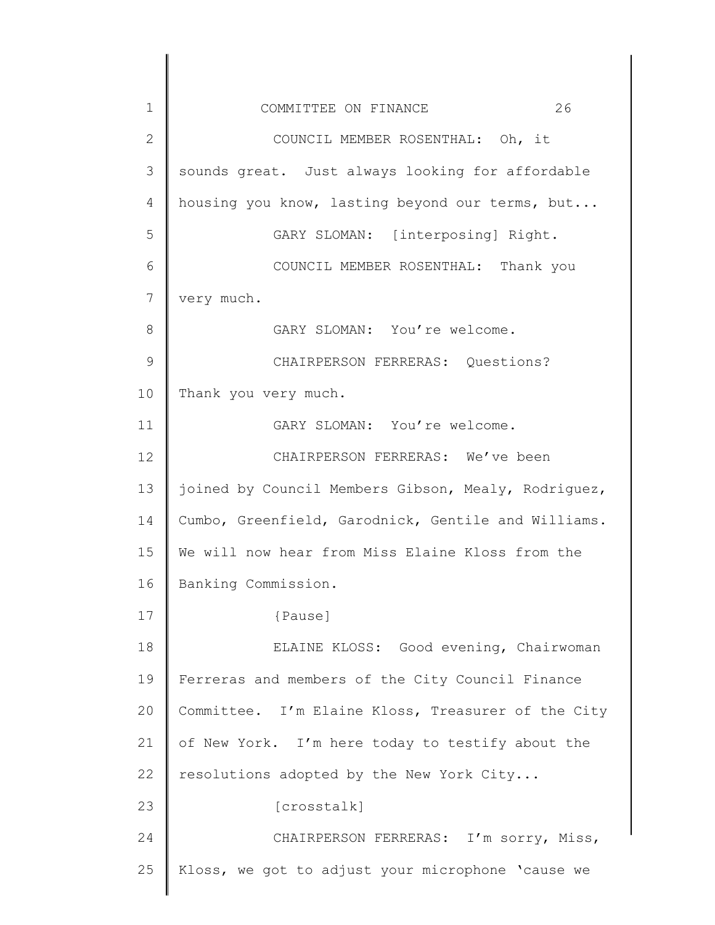| $\mathbf 1$   | 26<br>COMMITTEE ON FINANCE                          |
|---------------|-----------------------------------------------------|
| $\mathbf{2}$  | COUNCIL MEMBER ROSENTHAL: Oh, it                    |
| 3             | sounds great. Just always looking for affordable    |
| 4             | housing you know, lasting beyond our terms, but     |
| 5             | GARY SLOMAN: [interposing] Right.                   |
| 6             | COUNCIL MEMBER ROSENTHAL: Thank you                 |
| 7             | very much.                                          |
| 8             | GARY SLOMAN: You're welcome.                        |
| $\mathcal{G}$ | CHAIRPERSON FERRERAS: Questions?                    |
| 10            | Thank you very much.                                |
| 11            | GARY SLOMAN: You're welcome.                        |
| 12            | CHAIRPERSON FERRERAS: We've been                    |
| 13            | joined by Council Members Gibson, Mealy, Rodriguez, |
| 14            | Cumbo, Greenfield, Garodnick, Gentile and Williams. |
| 15            | We will now hear from Miss Elaine Kloss from the    |
| 16            | Banking Commission.                                 |
| 17            | {Pause]                                             |
| 18            | ELAINE KLOSS: Good evening, Chairwoman              |
| 19            | Ferreras and members of the City Council Finance    |
| 20            | Committee. I'm Elaine Kloss, Treasurer of the City  |
| 21            | of New York. I'm here today to testify about the    |
| 22            | resolutions adopted by the New York City            |
| 23            | [crosstalk]                                         |
| 24            | CHAIRPERSON FERRERAS: I'm sorry, Miss,              |
| 25            | Kloss, we got to adjust your microphone 'cause we   |
|               |                                                     |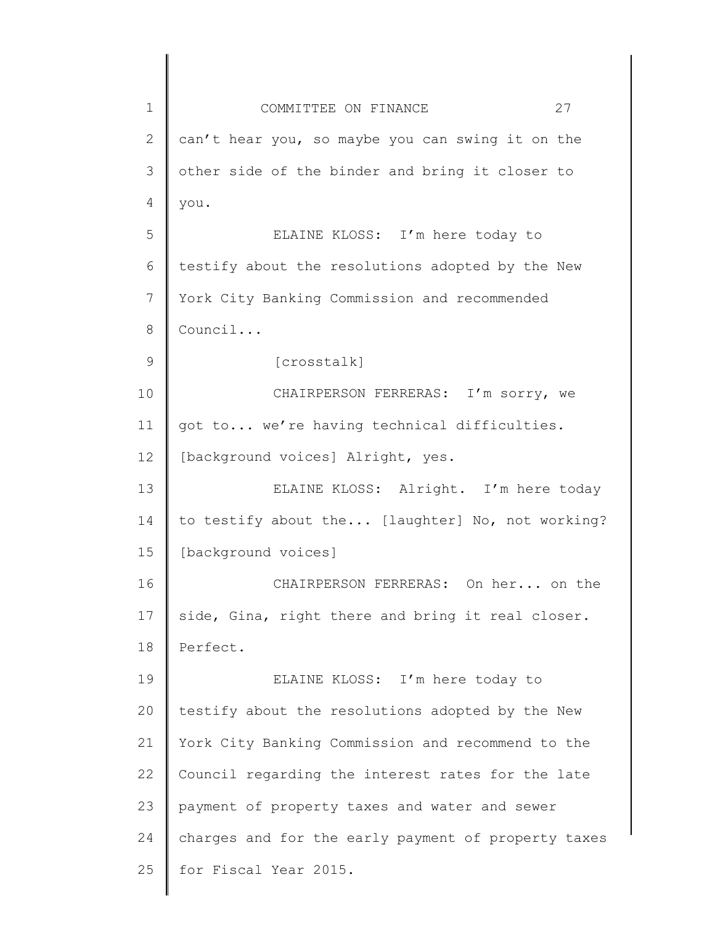| $\mathbf 1$   | 27<br>COMMITTEE ON FINANCE                          |
|---------------|-----------------------------------------------------|
| $\mathbf{2}$  | can't hear you, so maybe you can swing it on the    |
| 3             | other side of the binder and bring it closer to     |
| 4             | you.                                                |
| 5             | ELAINE KLOSS: I'm here today to                     |
| 6             | testify about the resolutions adopted by the New    |
| 7             | York City Banking Commission and recommended        |
| 8             | Council                                             |
| $\mathcal{G}$ | [crosstalk]                                         |
| 10            | CHAIRPERSON FERRERAS: I'm sorry, we                 |
| 11            | got to we're having technical difficulties.         |
| 12            | [background voices] Alright, yes.                   |
| 13            | ELAINE KLOSS: Alright. I'm here today               |
| 14            | to testify about the [laughter] No, not working?    |
| 15            | [background voices]                                 |
| 16            | CHAIRPERSON FERRERAS: On her on the                 |
| 17            | side, Gina, right there and bring it real closer.   |
| 18            | Perfect.                                            |
| 19            | ELAINE KLOSS: I'm here today to                     |
| 20            | testify about the resolutions adopted by the New    |
| 21            | York City Banking Commission and recommend to the   |
| 22            | Council regarding the interest rates for the late   |
| 23            | payment of property taxes and water and sewer       |
| 24            | charges and for the early payment of property taxes |
| 25            | for Fiscal Year 2015.                               |
|               |                                                     |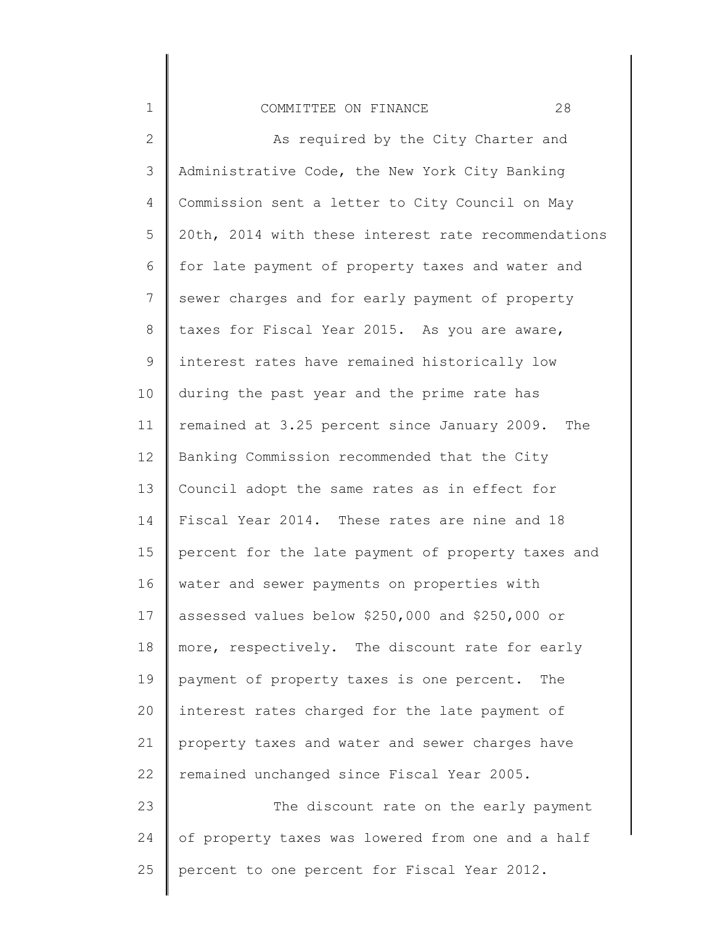# COMMITTEE ON FINANCE 28

1

25

2 3 4 5 6 7 8 9 10 11 12 13 14 15 16 17 18 19 20 21 22 23 24 As required by the City Charter and Administrative Code, the New York City Banking Commission sent a letter to City Council on May 20th, 2014 with these interest rate recommendations for late payment of property taxes and water and sewer charges and for early payment of property taxes for Fiscal Year 2015. As you are aware, interest rates have remained historically low during the past year and the prime rate has remained at 3.25 percent since January 2009. The Banking Commission recommended that the City Council adopt the same rates as in effect for Fiscal Year 2014. These rates are nine and 18 percent for the late payment of property taxes and water and sewer payments on properties with assessed values below \$250,000 and \$250,000 or more, respectively. The discount rate for early payment of property taxes is one percent. The interest rates charged for the late payment of property taxes and water and sewer charges have remained unchanged since Fiscal Year 2005. The discount rate on the early payment of property taxes was lowered from one and a half

percent to one percent for Fiscal Year 2012.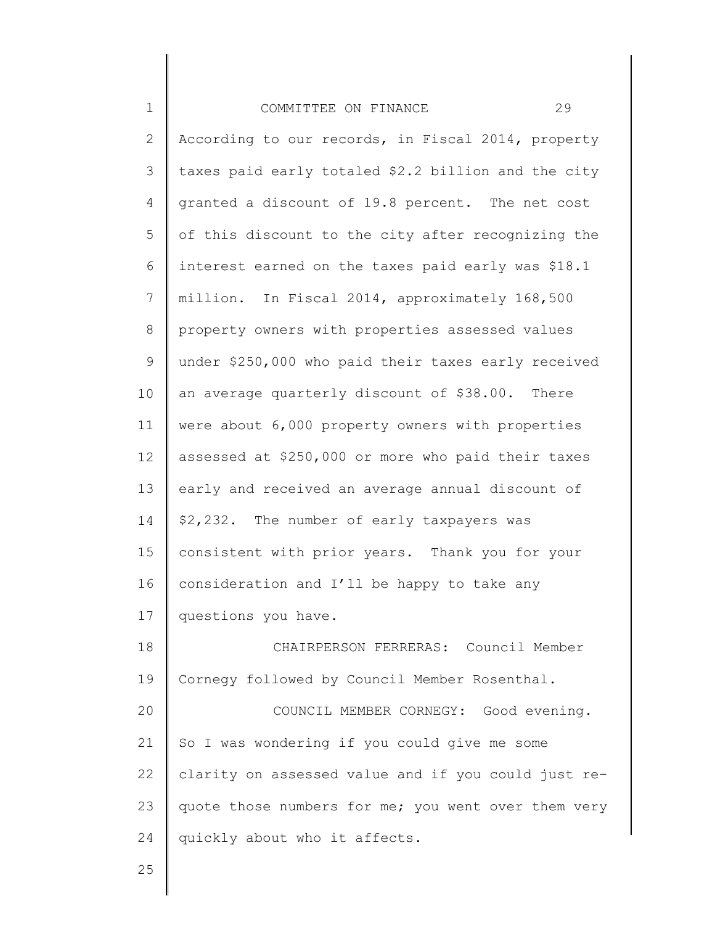| $\mathbf 1$    | 29<br>COMMITTEE ON FINANCE                          |
|----------------|-----------------------------------------------------|
| $\mathbf{2}$   | According to our records, in Fiscal 2014, property  |
| $\mathfrak{Z}$ | taxes paid early totaled \$2.2 billion and the city |
| 4              | granted a discount of 19.8 percent. The net cost    |
| 5              | of this discount to the city after recognizing the  |
| 6              | interest earned on the taxes paid early was \$18.1  |
| 7              | million. In Fiscal 2014, approximately 168,500      |
| 8              | property owners with properties assessed values     |
| 9              | under \$250,000 who paid their taxes early received |
| 10             | an average quarterly discount of \$38.00. There     |
| 11             | were about 6,000 property owners with properties    |
| 12             | assessed at \$250,000 or more who paid their taxes  |
| 13             | early and received an average annual discount of    |
| 14             | \$2,232. The number of early taxpayers was          |
| 15             | consistent with prior years. Thank you for your     |
| 16             | consideration and I'll be happy to take any         |
| 17             | questions you have.                                 |
| 18             | CHAIRPERSON FERRERAS: Council Member                |
| 19             | Cornegy followed by Council Member Rosenthal.       |
| 20             | COUNCIL MEMBER CORNEGY: Good evening.               |
| 21             | So I was wondering if you could give me some        |
| 22             | clarity on assessed value and if you could just re- |
| 23             | quote those numbers for me; you went over them very |
| 24             | quickly about who it affects.                       |
| 25             |                                                     |

∥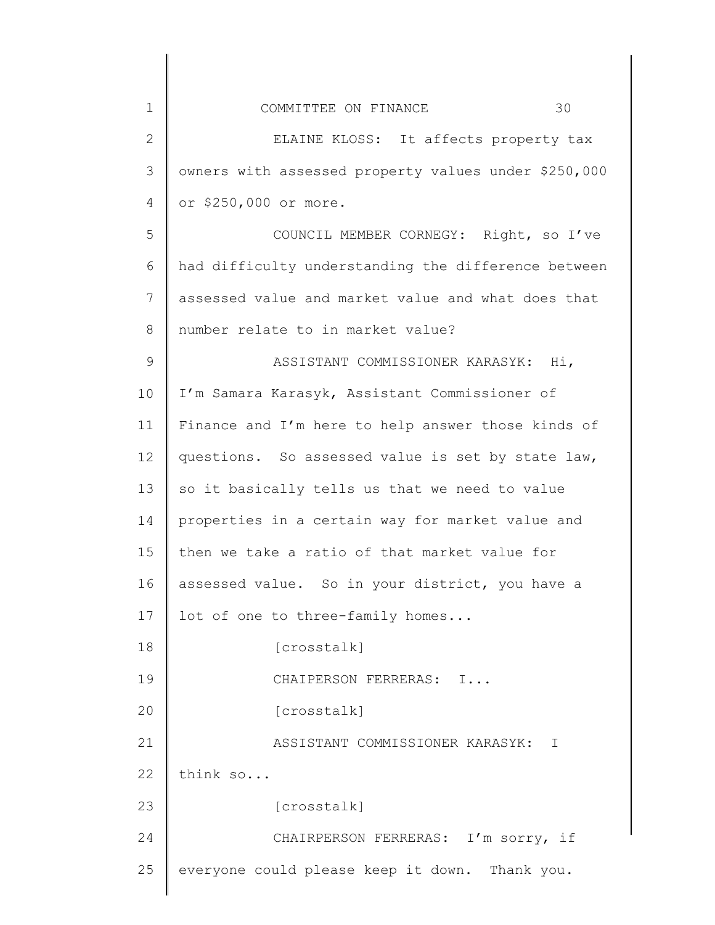| $\mathbf 1$  | 30<br>COMMITTEE ON FINANCE                           |
|--------------|------------------------------------------------------|
| $\mathbf{2}$ | ELAINE KLOSS: It affects property tax                |
| 3            | owners with assessed property values under \$250,000 |
| 4            | or \$250,000 or more.                                |
| 5            | COUNCIL MEMBER CORNEGY: Right, so I've               |
| 6            | had difficulty understanding the difference between  |
| 7            | assessed value and market value and what does that   |
| 8            | number relate to in market value?                    |
| $\mathsf 9$  | ASSISTANT COMMISSIONER KARASYK: Hi,                  |
| 10           | I'm Samara Karasyk, Assistant Commissioner of        |
| 11           | Finance and I'm here to help answer those kinds of   |
| 12           | questions. So assessed value is set by state law,    |
| 13           | so it basically tells us that we need to value       |
| 14           | properties in a certain way for market value and     |
| 15           | then we take a ratio of that market value for        |
| 16           | assessed value. So in your district, you have a      |
| 17           | lot of one to three-family homes                     |
| 18           | [crosstalk]                                          |
| 19           | CHAIPERSON FERRERAS: I                               |
| 20           | [crosstalk]                                          |
| 21           | ASSISTANT COMMISSIONER KARASYK:<br>Ι                 |
| 22           | think so                                             |
| 23           | [crosstalk]                                          |
| 24           | CHAIRPERSON FERRERAS: I'm sorry, if                  |
| 25           | everyone could please keep it down. Thank you.       |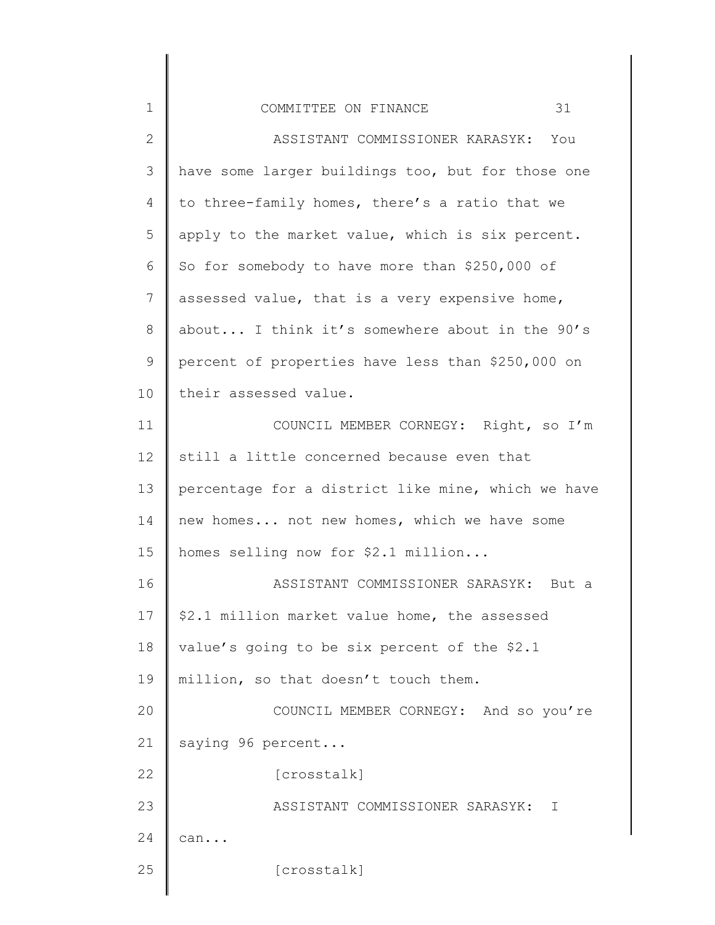| $\mathbf 1$    | 31<br>COMMITTEE ON FINANCE                         |
|----------------|----------------------------------------------------|
| $\mathbf{2}$   | ASSISTANT COMMISSIONER KARASYK: You                |
| 3              | have some larger buildings too, but for those one  |
| $\overline{4}$ | to three-family homes, there's a ratio that we     |
| 5              | apply to the market value, which is six percent.   |
| 6              | So for somebody to have more than \$250,000 of     |
| 7              | assessed value, that is a very expensive home,     |
| 8              | about I think it's somewhere about in the 90's     |
| $\mathcal{G}$  | percent of properties have less than \$250,000 on  |
| 10             | their assessed value.                              |
| 11             | COUNCIL MEMBER CORNEGY: Right, so I'm              |
| 12             | still a little concerned because even that         |
| 13             | percentage for a district like mine, which we have |
| 14             | new homes not new homes, which we have some        |
| 15             | homes selling now for \$2.1 million                |
| 16             | ASSISTANT COMMISSIONER SARASYK: But a              |
| 17             | \$2.1 million market value home, the assessed      |
| 18             | value's going to be six percent of the \$2.1       |
| 19             | million, so that doesn't touch them.               |
| 20             | COUNCIL MEMBER CORNEGY: And so you're              |
| 21             | saying 96 percent                                  |
| 22             | [crosstalk]                                        |
| 23             | ASSISTANT COMMISSIONER SARASYK:<br>$\top$          |
| 24             | can                                                |
| 25             | [crosstalk]                                        |
|                |                                                    |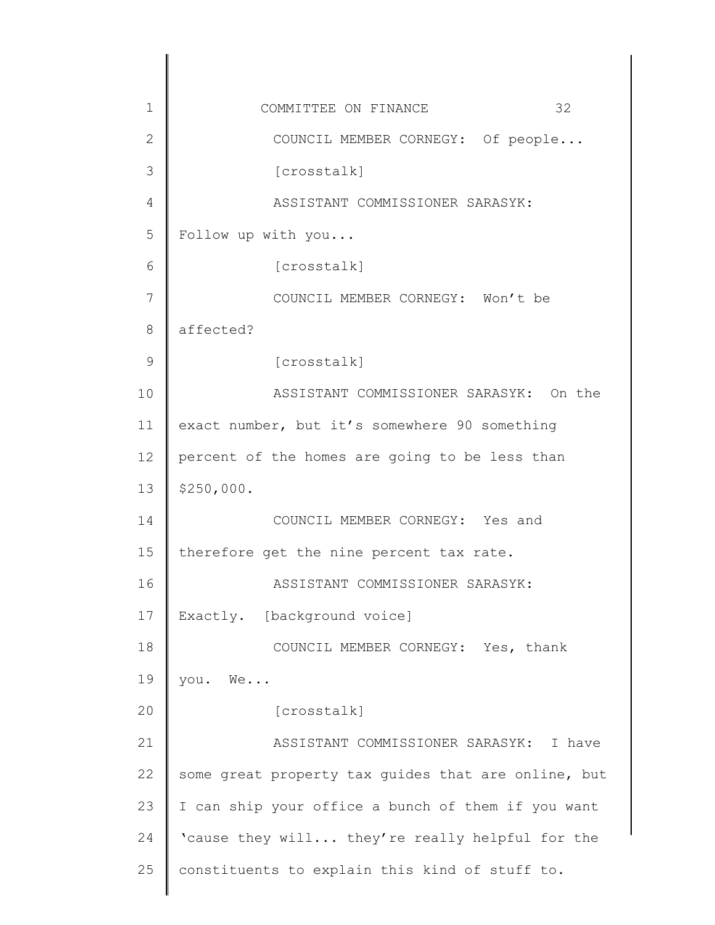| $\mathbf 1$   | 32<br>COMMITTEE ON FINANCE                          |
|---------------|-----------------------------------------------------|
| $\mathbf{2}$  | COUNCIL MEMBER CORNEGY: Of people                   |
| 3             | [crosstalk]                                         |
| 4             | ASSISTANT COMMISSIONER SARASYK:                     |
| 5             | Follow up with you                                  |
| 6             | [crosstalk]                                         |
| 7             | COUNCIL MEMBER CORNEGY: Won't be                    |
| 8             | affected?                                           |
| $\mathcal{G}$ | [crosstalk]                                         |
| 10            | ASSISTANT COMMISSIONER SARASYK: On the              |
| 11            | exact number, but it's somewhere 90 something       |
| 12            | percent of the homes are going to be less than      |
| 13            | \$250,000.                                          |
| 14            | COUNCIL MEMBER CORNEGY: Yes and                     |
| 15            | therefore get the nine percent tax rate.            |
| 16            | ASSISTANT COMMISSIONER SARASYK:                     |
| 17            | Exactly. [background voice]                         |
| 18            | COUNCIL MEMBER CORNEGY: Yes, thank                  |
| 19            | you. We                                             |
| 20            | [crosstalk]                                         |
| 21            | ASSISTANT COMMISSIONER SARASYK: I have              |
| 22            | some great property tax guides that are online, but |
| 23            | I can ship your office a bunch of them if you want  |
| 24            | 'cause they will they're really helpful for the     |
| 25            | constituents to explain this kind of stuff to.      |
|               |                                                     |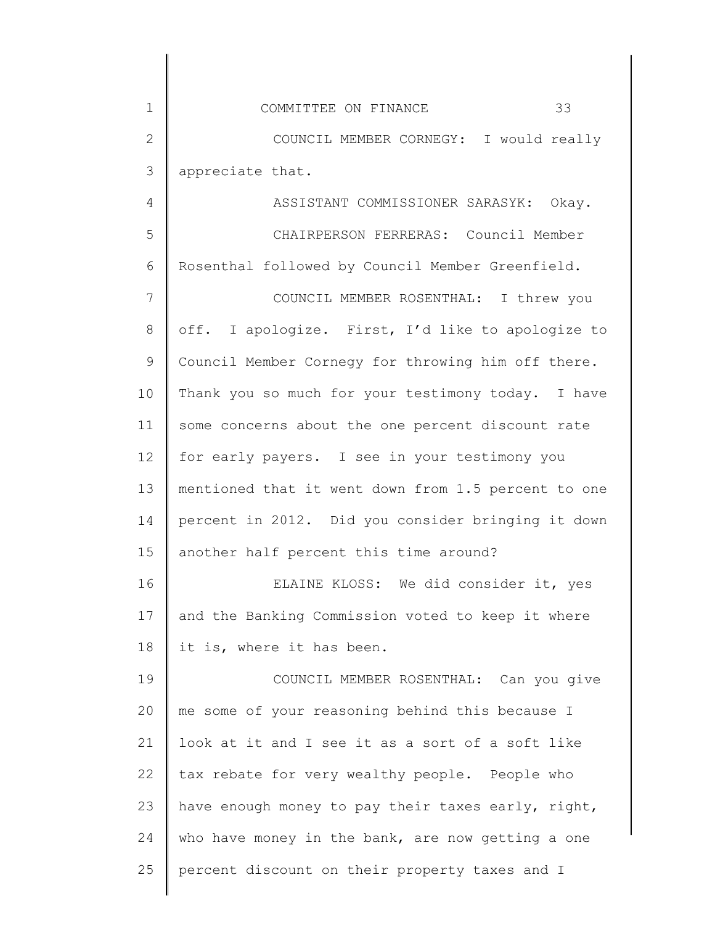| $\mathbf 1$   | 33<br>COMMITTEE ON FINANCE                          |
|---------------|-----------------------------------------------------|
| $\mathbf{2}$  | COUNCIL MEMBER CORNEGY: I would really              |
| 3             | appreciate that.                                    |
| 4             | ASSISTANT COMMISSIONER SARASYK: Okay.               |
| 5             | CHAIRPERSON FERRERAS: Council Member                |
| 6             | Rosenthal followed by Council Member Greenfield.    |
| 7             | COUNCIL MEMBER ROSENTHAL: I threw you               |
| 8             | off. I apologize. First, I'd like to apologize to   |
| $\mathcal{G}$ | Council Member Cornegy for throwing him off there.  |
| 10            | Thank you so much for your testimony today. I have  |
| 11            | some concerns about the one percent discount rate   |
| 12            | for early payers. I see in your testimony you       |
| 13            | mentioned that it went down from 1.5 percent to one |
| 14            | percent in 2012. Did you consider bringing it down  |
| 15            | another half percent this time around?              |
| 16            | ELAINE KLOSS: We did consider it, yes               |
| 17            | and the Banking Commission voted to keep it where   |
| 18            | it is, where it has been.                           |
| 19            | COUNCIL MEMBER ROSENTHAL: Can you give              |
| 20            | me some of your reasoning behind this because I     |
| 21            | look at it and I see it as a sort of a soft like    |
| 22            | tax rebate for very wealthy people. People who      |
| 23            | have enough money to pay their taxes early, right,  |
| 24            | who have money in the bank, are now getting a one   |
| 25            | percent discount on their property taxes and I      |
|               |                                                     |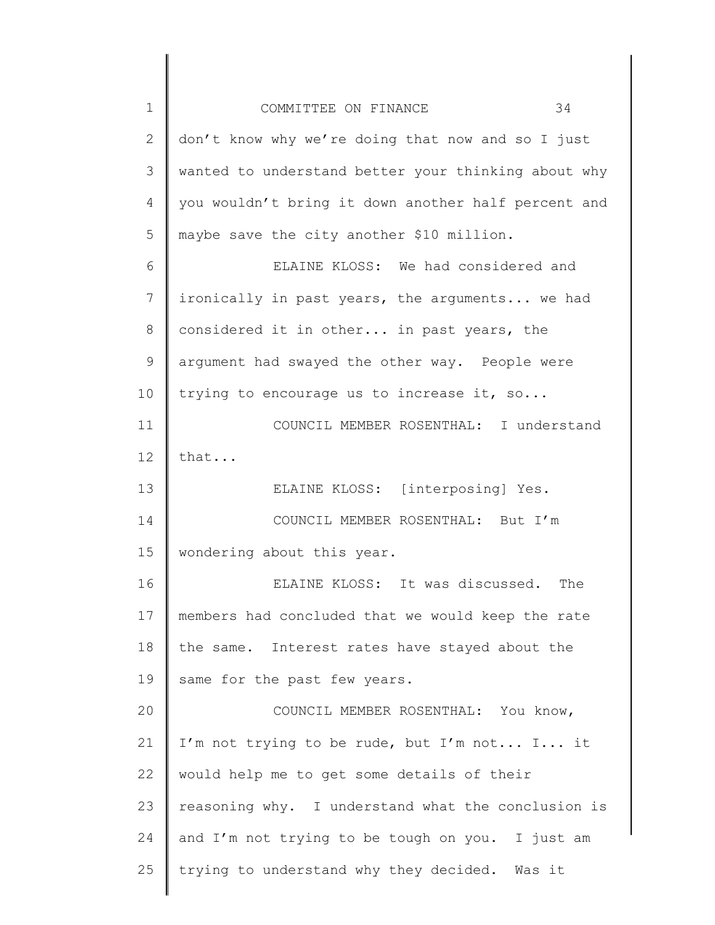| $\mathbf 1$  | 34<br>COMMITTEE ON FINANCE                          |
|--------------|-----------------------------------------------------|
| $\mathbf{2}$ | don't know why we're doing that now and so I just   |
| 3            | wanted to understand better your thinking about why |
| 4            | you wouldn't bring it down another half percent and |
| 5            | maybe save the city another \$10 million.           |
| 6            | ELAINE KLOSS: We had considered and                 |
| 7            | ironically in past years, the arguments we had      |
| 8            | considered it in other in past years, the           |
| $\mathsf 9$  | argument had swayed the other way. People were      |
| 10           | trying to encourage us to increase it, so           |
| 11           | COUNCIL MEMBER ROSENTHAL: I understand              |
| 12           | that                                                |
| 13           | ELAINE KLOSS: [interposing] Yes.                    |
| 14           | COUNCIL MEMBER ROSENTHAL: But I'm                   |
| 15           | wondering about this year.                          |
| 16           | ELAINE KLOSS: It was discussed. The                 |
| 17           | members had concluded that we would keep the rate   |
| 18           | the same. Interest rates have stayed about the      |
| 19           | same for the past few years.                        |
| 20           | COUNCIL MEMBER ROSENTHAL: You know,                 |
| 21           | I'm not trying to be rude, but I'm not I it         |
| 22           | would help me to get some details of their          |
| 23           | reasoning why. I understand what the conclusion is  |
| 24           | and I'm not trying to be tough on you. I just am    |
| 25           | trying to understand why they decided. Was it       |
|              |                                                     |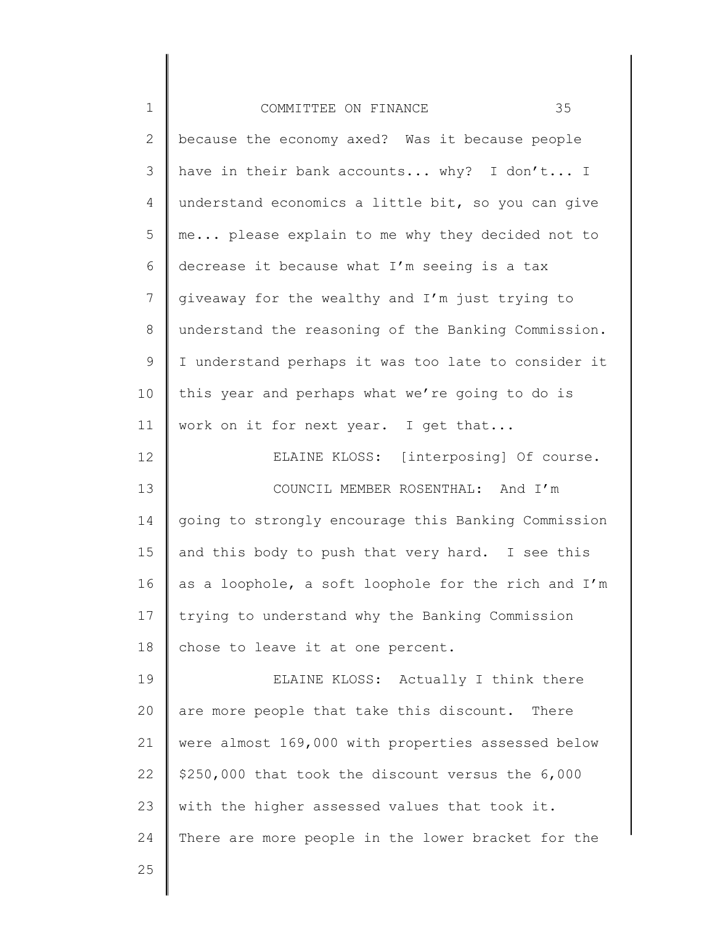| $1\,$        | 35<br>COMMITTEE ON FINANCE                          |
|--------------|-----------------------------------------------------|
| $\mathbf{2}$ | because the economy axed? Was it because people     |
| 3            | have in their bank accounts why? I don't I          |
| 4            | understand economics a little bit, so you can give  |
| 5            | me please explain to me why they decided not to     |
| 6            | decrease it because what I'm seeing is a tax        |
| 7            | giveaway for the wealthy and I'm just trying to     |
| 8            | understand the reasoning of the Banking Commission. |
| $\mathsf 9$  | I understand perhaps it was too late to consider it |
| 10           | this year and perhaps what we're going to do is     |
| 11           | work on it for next year. I get that                |
| 12           | ELAINE KLOSS: [interposing] Of course.              |
| 13           | COUNCIL MEMBER ROSENTHAL: And I'm                   |
| 14           | going to strongly encourage this Banking Commission |
| 15           | and this body to push that very hard. I see this    |
| 16           | as a loophole, a soft loophole for the rich and I'm |
| 17           | trying to understand why the Banking Commission     |
| $1\,8$       | chose to leave it at one percent.                   |
| 19           | ELAINE KLOSS: Actually I think there                |
| 20           | are more people that take this discount.<br>There   |
| 21           | were almost 169,000 with properties assessed below  |
| 22           | \$250,000 that took the discount versus the 6,000   |
| 23           | with the higher assessed values that took it.       |
| 24           | There are more people in the lower bracket for the  |
| 25           |                                                     |
|              |                                                     |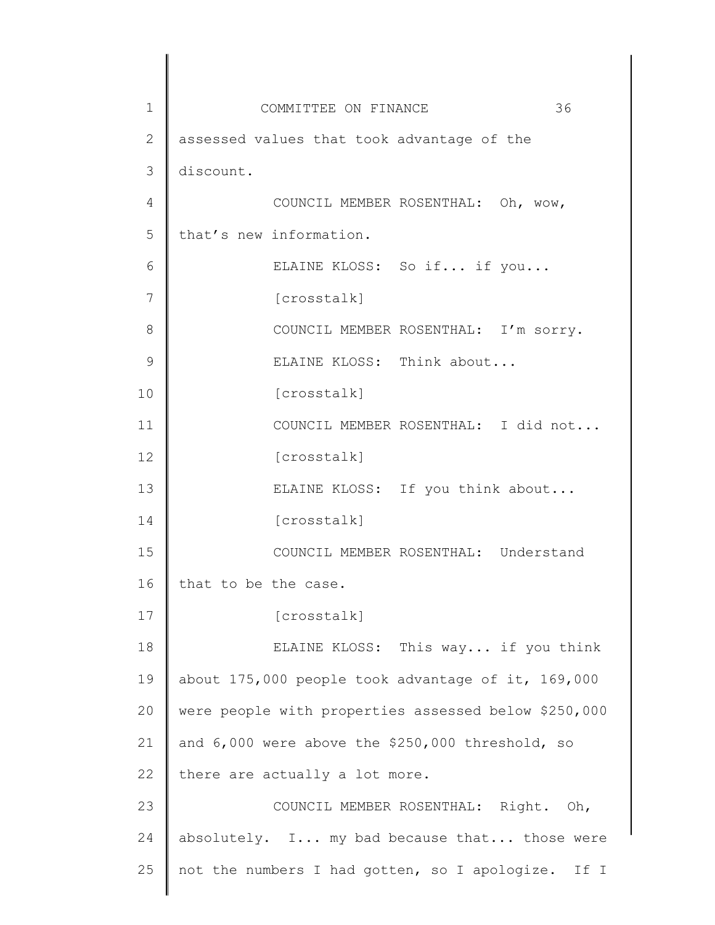1 2 3 4 5 6 7 8 9 10 11 12 13 14 15 16 17 18 19 20 21 22 23 24 25 COMMITTEE ON FINANCE 36 assessed values that took advantage of the discount. COUNCIL MEMBER ROSENTHAL: Oh, wow, that's new information. ELAINE KLOSS: So if... if you... [crosstalk] COUNCIL MEMBER ROSENTHAL: I'm sorry. ELAINE KLOSS: Think about... [crosstalk] COUNCIL MEMBER ROSENTHAL: I did not... [crosstalk] ELAINE KLOSS: If you think about... [crosstalk] COUNCIL MEMBER ROSENTHAL: Understand that to be the case. [crosstalk] ELAINE KLOSS: This way... if you think about 175,000 people took advantage of it, 169,000 were people with properties assessed below \$250,000 and 6,000 were above the \$250,000 threshold, so there are actually a lot more. COUNCIL MEMBER ROSENTHAL: Right. Oh, absolutely. I... my bad because that... those were not the numbers I had gotten, so I apologize. If I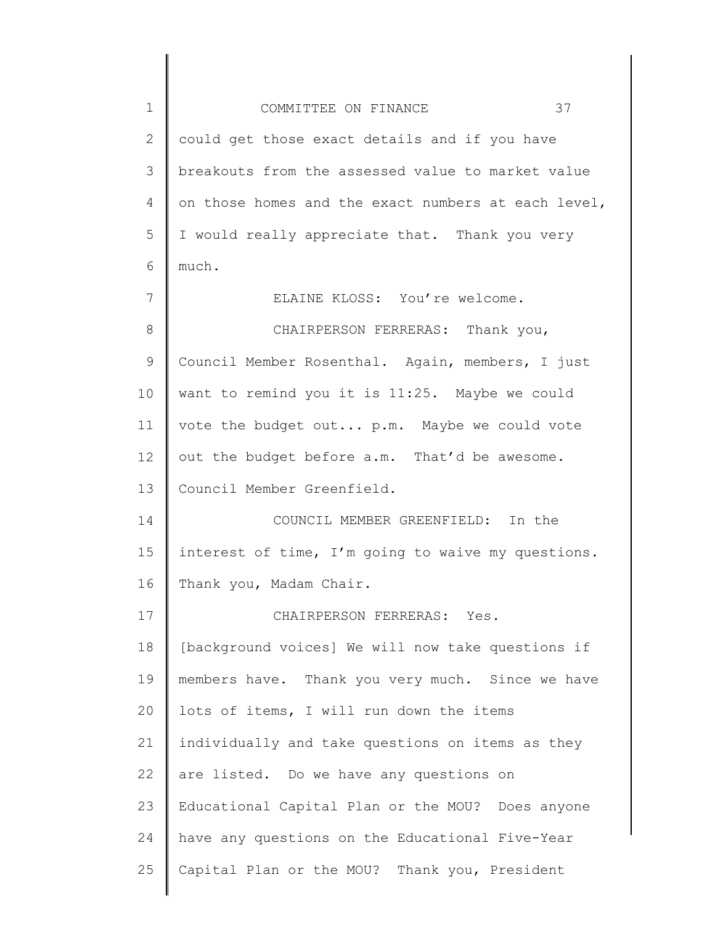| $\mathbf 1$  | 37<br>COMMITTEE ON FINANCE                          |
|--------------|-----------------------------------------------------|
| $\mathbf{2}$ | could get those exact details and if you have       |
| 3            | breakouts from the assessed value to market value   |
| 4            | on those homes and the exact numbers at each level, |
| 5            | I would really appreciate that. Thank you very      |
| 6            | much.                                               |
| 7            | ELAINE KLOSS: You're welcome.                       |
| 8            | CHAIRPERSON FERRERAS: Thank you,                    |
| 9            | Council Member Rosenthal. Again, members, I just    |
| 10           | want to remind you it is 11:25. Maybe we could      |
| 11           | vote the budget out p.m. Maybe we could vote        |
| 12           | out the budget before a.m. That'd be awesome.       |
| 13           | Council Member Greenfield.                          |
| 14           | COUNCIL MEMBER GREENFIELD: In the                   |
| 15           | interest of time, I'm going to waive my questions.  |
| 16           | Thank you, Madam Chair.                             |
| 17           | CHAIRPERSON FERRERAS: Yes.                          |
| 18           | [background voices] We will now take questions if   |
| 19           | members have. Thank you very much. Since we have    |
| 20           | lots of items, I will run down the items            |
| 21           | individually and take questions on items as they    |
| 22           | are listed. Do we have any questions on             |
| 23           | Educational Capital Plan or the MOU? Does anyone    |
| 24           | have any questions on the Educational Five-Year     |
| 25           | Capital Plan or the MOU? Thank you, President       |
|              |                                                     |

 $\begin{array}{c} \hline \end{array}$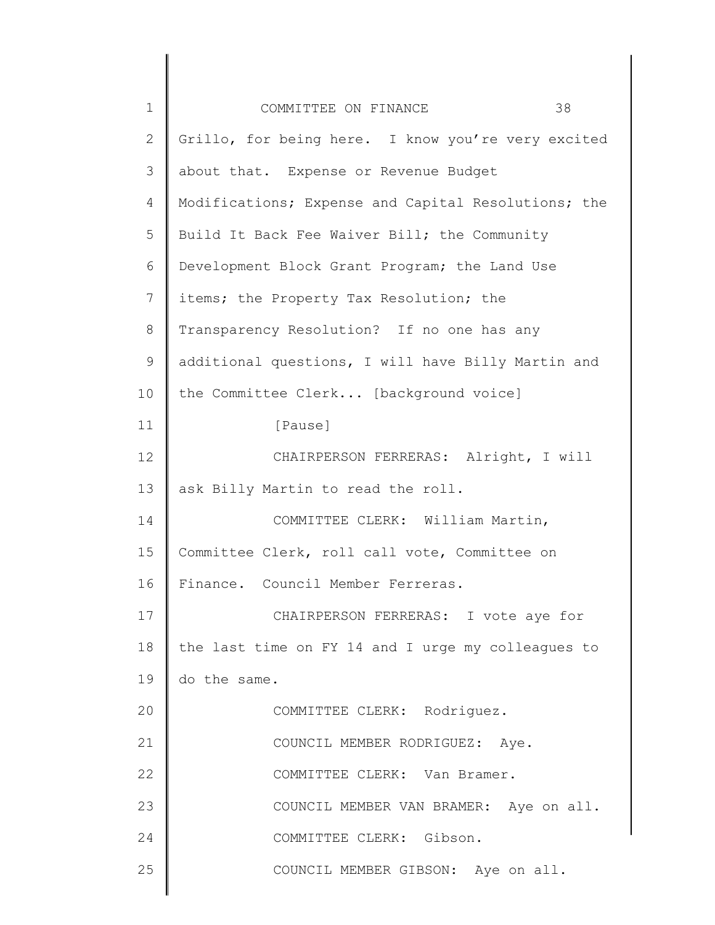| $\mathbf 1$  | 38<br>COMMITTEE ON FINANCE                          |
|--------------|-----------------------------------------------------|
| $\mathbf{2}$ | Grillo, for being here. I know you're very excited  |
| 3            | about that. Expense or Revenue Budget               |
| 4            | Modifications; Expense and Capital Resolutions; the |
| 5            | Build It Back Fee Waiver Bill; the Community        |
| 6            | Development Block Grant Program; the Land Use       |
| 7            | items; the Property Tax Resolution; the             |
| 8            | Transparency Resolution? If no one has any          |
| $\mathsf 9$  | additional questions, I will have Billy Martin and  |
| 10           | the Committee Clerk [background voice]              |
| 11           | [Pause]                                             |
| 12           | CHAIRPERSON FERRERAS: Alright, I will               |
| 13           | ask Billy Martin to read the roll.                  |
| 14           | COMMITTEE CLERK: William Martin,                    |
| 15           | Committee Clerk, roll call vote, Committee on       |
| 16           | Finance. Council Member Ferreras.                   |
| 17           | CHAIRPERSON FERRERAS: I vote aye for                |
| 18           | the last time on FY 14 and I urge my colleagues to  |
| 19           | do the same.                                        |
| 20           | COMMITTEE CLERK: Rodriguez.                         |
| 21           | COUNCIL MEMBER RODRIGUEZ: Aye.                      |
| 22           | COMMITTEE CLERK: Van Bramer.                        |
| 23           | COUNCIL MEMBER VAN BRAMER: Aye on all.              |
| 24           | COMMITTEE CLERK: Gibson.                            |
| 25           | COUNCIL MEMBER GIBSON: Aye on all.                  |
|              |                                                     |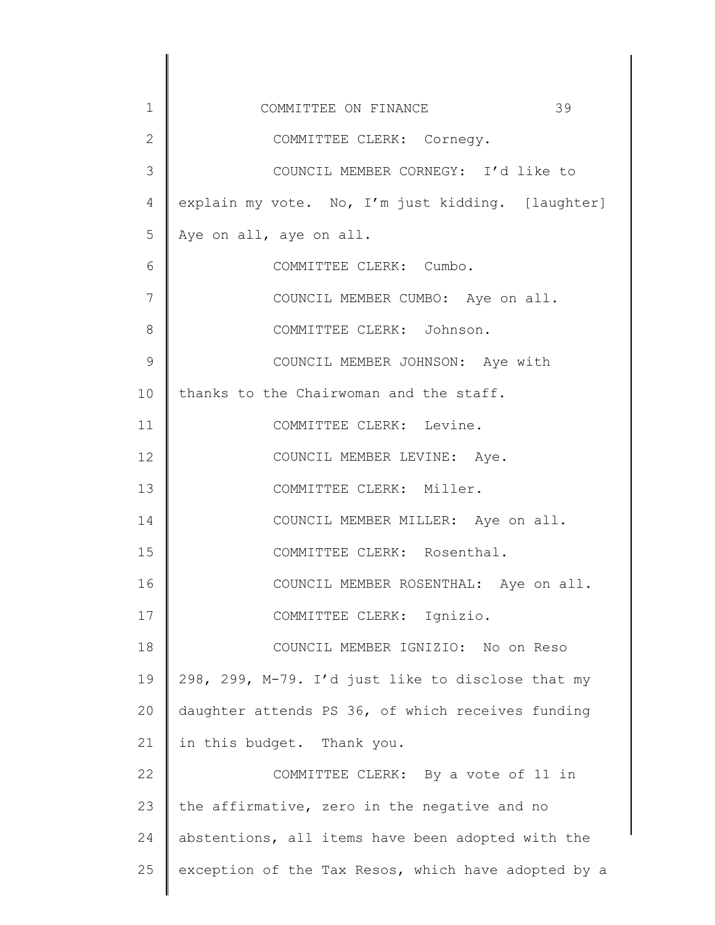| $\mathbf 1$   | 39<br>COMMITTEE ON FINANCE                          |
|---------------|-----------------------------------------------------|
| $\mathbf{2}$  | COMMITTEE CLERK: Cornegy.                           |
| 3             | COUNCIL MEMBER CORNEGY: I'd like to                 |
| 4             | explain my vote. No, I'm just kidding. [laughter]   |
| 5             | Aye on all, aye on all.                             |
| 6             | COMMITTEE CLERK: Cumbo.                             |
| 7             | COUNCIL MEMBER CUMBO: Aye on all.                   |
| 8             | COMMITTEE CLERK: Johnson.                           |
| $\mathcal{G}$ | COUNCIL MEMBER JOHNSON: Aye with                    |
| 10            | thanks to the Chairwoman and the staff.             |
| 11            | COMMITTEE CLERK: Levine.                            |
| 12            | COUNCIL MEMBER LEVINE: Aye.                         |
| 13            | COMMITTEE CLERK: Miller.                            |
| 14            | COUNCIL MEMBER MILLER: Aye on all.                  |
| 15            | COMMITTEE CLERK: Rosenthal.                         |
| 16            | COUNCIL MEMBER ROSENTHAL: Aye on all.               |
| 17            | COMMITTEE CLERK: Ignizio.                           |
| 18            | COUNCIL MEMBER IGNIZIO: No on Reso                  |
| 19            | 298, 299, M-79. I'd just like to disclose that my   |
| 20            | daughter attends PS 36, of which receives funding   |
| 21            | in this budget. Thank you.                          |
| 22            | COMMITTEE CLERK: By a vote of 11 in                 |
| 23            | the affirmative, zero in the negative and no        |
| 24            | abstentions, all items have been adopted with the   |
| 25            | exception of the Tax Resos, which have adopted by a |
|               |                                                     |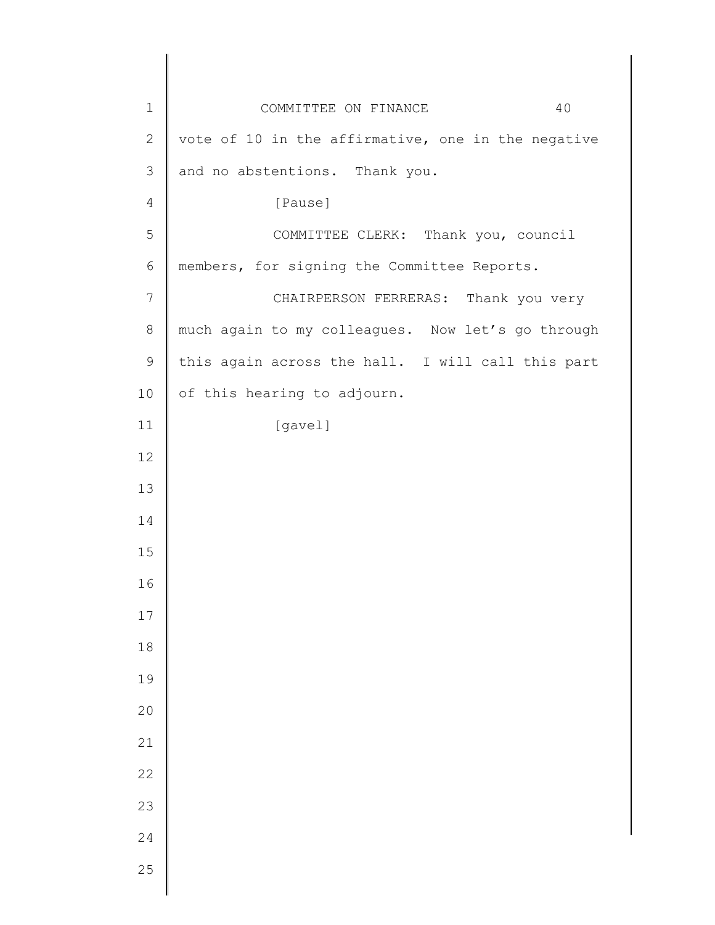| $1\,$          | 40<br>COMMITTEE ON FINANCE                         |
|----------------|----------------------------------------------------|
| $\mathbf 2$    | vote of 10 in the affirmative, one in the negative |
| 3              | and no abstentions. Thank you.                     |
| $\overline{4}$ | [Pause]                                            |
| 5              | COMMITTEE CLERK: Thank you, council                |
| $\epsilon$     | members, for signing the Committee Reports.        |
| 7              | CHAIRPERSON FERRERAS: Thank you very               |
| $\,8\,$        | much again to my colleagues. Now let's go through  |
| $\mathsf 9$    | this again across the hall. I will call this part  |
| 10             | of this hearing to adjourn.                        |
| 11             | [gavel]                                            |
| 12             |                                                    |
| 13             |                                                    |
| 14             |                                                    |
| 15             |                                                    |
| 16             |                                                    |
| $17$           |                                                    |
| $1\,8$         |                                                    |
| 19             |                                                    |
| 20             |                                                    |
| 21             |                                                    |
| 22             |                                                    |
| 23             |                                                    |
| 24             |                                                    |
| 25             |                                                    |